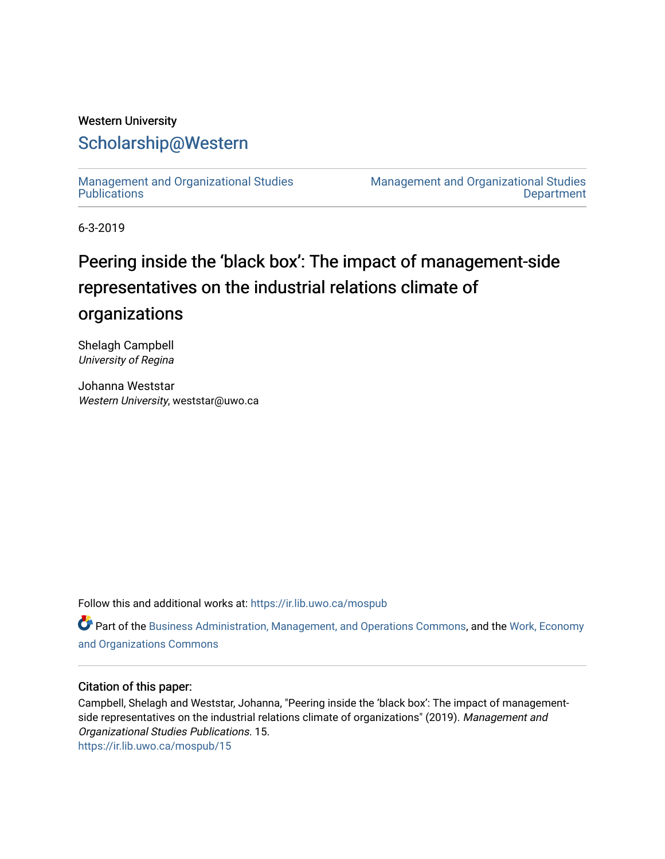### Western University [Scholarship@Western](https://ir.lib.uwo.ca/)

[Management and Organizational Studies](https://ir.lib.uwo.ca/mospub)  **Publications** 

[Management and Organizational Studies](https://ir.lib.uwo.ca/mos)  **Department** 

6-3-2019

# Peering inside the 'black box': The impact of management-side representatives on the industrial relations climate of organizations

Shelagh Campbell University of Regina

Johanna Weststar Western University, weststar@uwo.ca

Follow this and additional works at: [https://ir.lib.uwo.ca/mospub](https://ir.lib.uwo.ca/mospub?utm_source=ir.lib.uwo.ca%2Fmospub%2F15&utm_medium=PDF&utm_campaign=PDFCoverPages) 

Part of the [Business Administration, Management, and Operations Commons](http://network.bepress.com/hgg/discipline/623?utm_source=ir.lib.uwo.ca%2Fmospub%2F15&utm_medium=PDF&utm_campaign=PDFCoverPages), and the [Work, Economy](http://network.bepress.com/hgg/discipline/433?utm_source=ir.lib.uwo.ca%2Fmospub%2F15&utm_medium=PDF&utm_campaign=PDFCoverPages)  [and Organizations Commons](http://network.bepress.com/hgg/discipline/433?utm_source=ir.lib.uwo.ca%2Fmospub%2F15&utm_medium=PDF&utm_campaign=PDFCoverPages)

#### Citation of this paper:

Campbell, Shelagh and Weststar, Johanna, "Peering inside the 'black box': The impact of managementside representatives on the industrial relations climate of organizations" (2019). Management and Organizational Studies Publications. 15. [https://ir.lib.uwo.ca/mospub/15](https://ir.lib.uwo.ca/mospub/15?utm_source=ir.lib.uwo.ca%2Fmospub%2F15&utm_medium=PDF&utm_campaign=PDFCoverPages)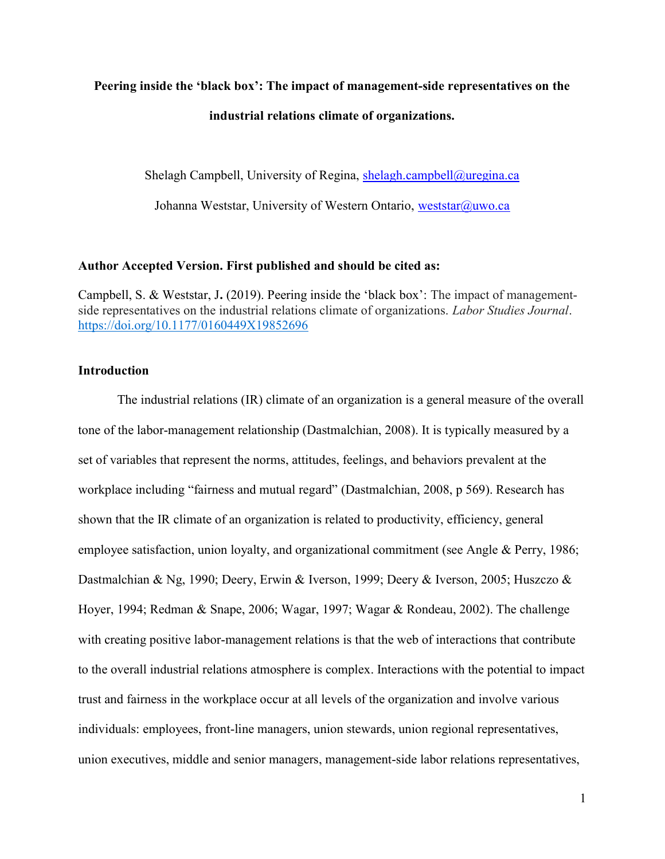## Peering inside the 'black box': The impact of management-side representatives on the industrial relations climate of organizations.

Shelagh Campbell, University of Regina, shelagh.campbell@uregina.ca

Johanna Weststar, University of Western Ontario, weststar@uwo.ca

#### Author Accepted Version. First published and should be cited as:

Campbell, S. & Weststar, J. (2019). Peering inside the 'black box': The impact of managementside representatives on the industrial relations climate of organizations. Labor Studies Journal. https://doi.org/10.1177/0160449X19852696

#### **Introduction**

The industrial relations (IR) climate of an organization is a general measure of the overall tone of the labor-management relationship (Dastmalchian, 2008). It is typically measured by a set of variables that represent the norms, attitudes, feelings, and behaviors prevalent at the workplace including "fairness and mutual regard" (Dastmalchian, 2008, p 569). Research has shown that the IR climate of an organization is related to productivity, efficiency, general employee satisfaction, union loyalty, and organizational commitment (see Angle & Perry, 1986; Dastmalchian & Ng, 1990; Deery, Erwin & Iverson, 1999; Deery & Iverson, 2005; Huszczo & Hoyer, 1994; Redman & Snape, 2006; Wagar, 1997; Wagar & Rondeau, 2002). The challenge with creating positive labor-management relations is that the web of interactions that contribute to the overall industrial relations atmosphere is complex. Interactions with the potential to impact trust and fairness in the workplace occur at all levels of the organization and involve various individuals: employees, front-line managers, union stewards, union regional representatives, union executives, middle and senior managers, management-side labor relations representatives,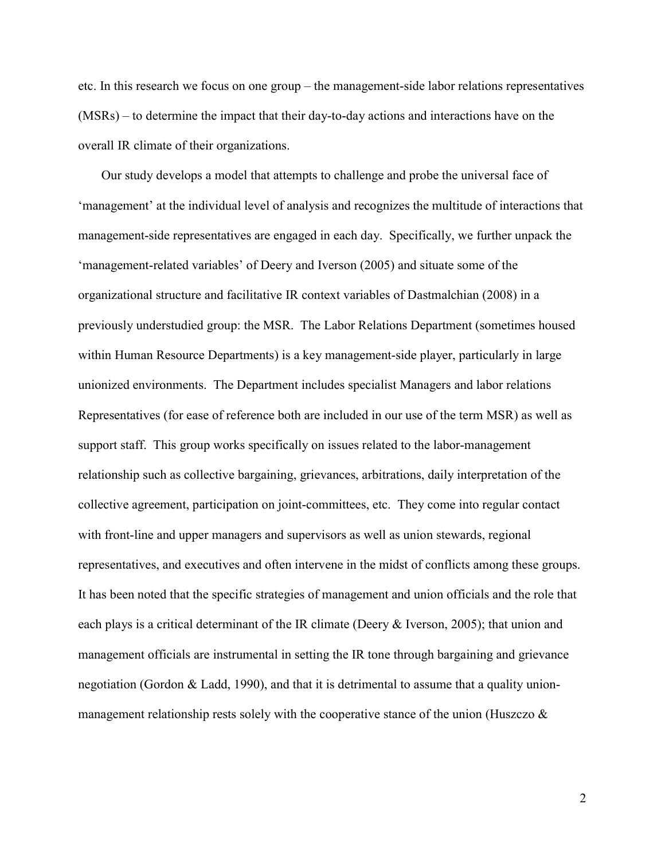etc. In this research we focus on one group – the management-side labor relations representatives (MSRs) – to determine the impact that their day-to-day actions and interactions have on the overall IR climate of their organizations.

Our study develops a model that attempts to challenge and probe the universal face of 'management' at the individual level of analysis and recognizes the multitude of interactions that management-side representatives are engaged in each day. Specifically, we further unpack the 'management-related variables' of Deery and Iverson (2005) and situate some of the organizational structure and facilitative IR context variables of Dastmalchian (2008) in a previously understudied group: the MSR. The Labor Relations Department (sometimes housed within Human Resource Departments) is a key management-side player, particularly in large unionized environments. The Department includes specialist Managers and labor relations Representatives (for ease of reference both are included in our use of the term MSR) as well as support staff. This group works specifically on issues related to the labor-management relationship such as collective bargaining, grievances, arbitrations, daily interpretation of the collective agreement, participation on joint-committees, etc. They come into regular contact with front-line and upper managers and supervisors as well as union stewards, regional representatives, and executives and often intervene in the midst of conflicts among these groups. It has been noted that the specific strategies of management and union officials and the role that each plays is a critical determinant of the IR climate (Deery & Iverson, 2005); that union and management officials are instrumental in setting the IR tone through bargaining and grievance negotiation (Gordon & Ladd, 1990), and that it is detrimental to assume that a quality unionmanagement relationship rests solely with the cooperative stance of the union (Huszczo &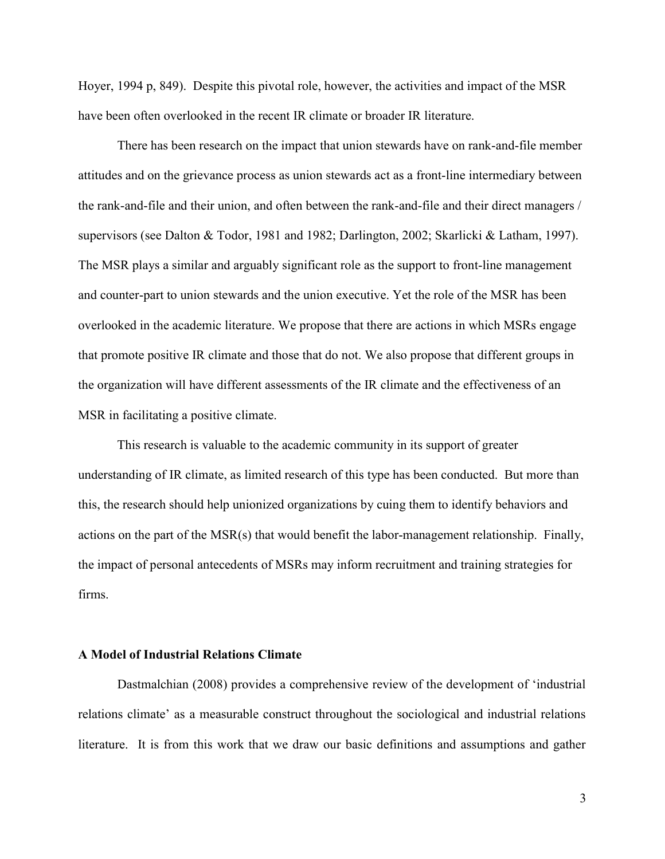Hoyer, 1994 p, 849). Despite this pivotal role, however, the activities and impact of the MSR have been often overlooked in the recent IR climate or broader IR literature.

There has been research on the impact that union stewards have on rank-and-file member attitudes and on the grievance process as union stewards act as a front-line intermediary between the rank-and-file and their union, and often between the rank-and-file and their direct managers / supervisors (see Dalton & Todor, 1981 and 1982; Darlington, 2002; Skarlicki & Latham, 1997). The MSR plays a similar and arguably significant role as the support to front-line management and counter-part to union stewards and the union executive. Yet the role of the MSR has been overlooked in the academic literature. We propose that there are actions in which MSRs engage that promote positive IR climate and those that do not. We also propose that different groups in the organization will have different assessments of the IR climate and the effectiveness of an MSR in facilitating a positive climate.

 This research is valuable to the academic community in its support of greater understanding of IR climate, as limited research of this type has been conducted. But more than this, the research should help unionized organizations by cuing them to identify behaviors and actions on the part of the MSR(s) that would benefit the labor-management relationship. Finally, the impact of personal antecedents of MSRs may inform recruitment and training strategies for firms.

#### A Model of Industrial Relations Climate

Dastmalchian (2008) provides a comprehensive review of the development of 'industrial relations climate' as a measurable construct throughout the sociological and industrial relations literature. It is from this work that we draw our basic definitions and assumptions and gather

3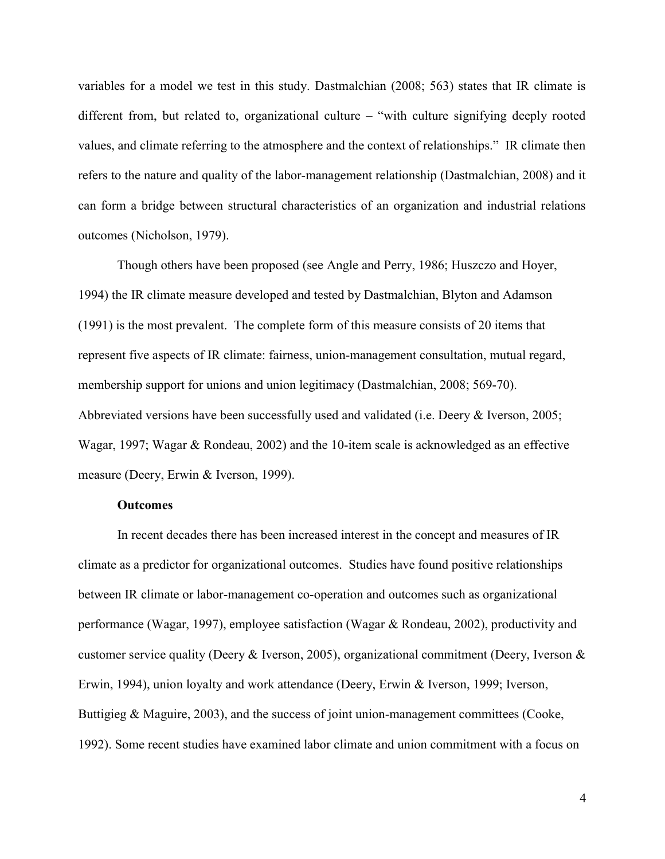variables for a model we test in this study. Dastmalchian (2008; 563) states that IR climate is different from, but related to, organizational culture – "with culture signifying deeply rooted values, and climate referring to the atmosphere and the context of relationships." IR climate then refers to the nature and quality of the labor-management relationship (Dastmalchian, 2008) and it can form a bridge between structural characteristics of an organization and industrial relations outcomes (Nicholson, 1979).

Though others have been proposed (see Angle and Perry, 1986; Huszczo and Hoyer, 1994) the IR climate measure developed and tested by Dastmalchian, Blyton and Adamson (1991) is the most prevalent. The complete form of this measure consists of 20 items that represent five aspects of IR climate: fairness, union-management consultation, mutual regard, membership support for unions and union legitimacy (Dastmalchian, 2008; 569-70). Abbreviated versions have been successfully used and validated (i.e. Deery & Iverson, 2005; Wagar, 1997; Wagar & Rondeau, 2002) and the 10-item scale is acknowledged as an effective measure (Deery, Erwin & Iverson, 1999).

#### **Outcomes**

In recent decades there has been increased interest in the concept and measures of IR climate as a predictor for organizational outcomes. Studies have found positive relationships between IR climate or labor-management co-operation and outcomes such as organizational performance (Wagar, 1997), employee satisfaction (Wagar & Rondeau, 2002), productivity and customer service quality (Deery & Iverson, 2005), organizational commitment (Deery, Iverson & Erwin, 1994), union loyalty and work attendance (Deery, Erwin & Iverson, 1999; Iverson, Buttigieg & Maguire, 2003), and the success of joint union-management committees (Cooke, 1992). Some recent studies have examined labor climate and union commitment with a focus on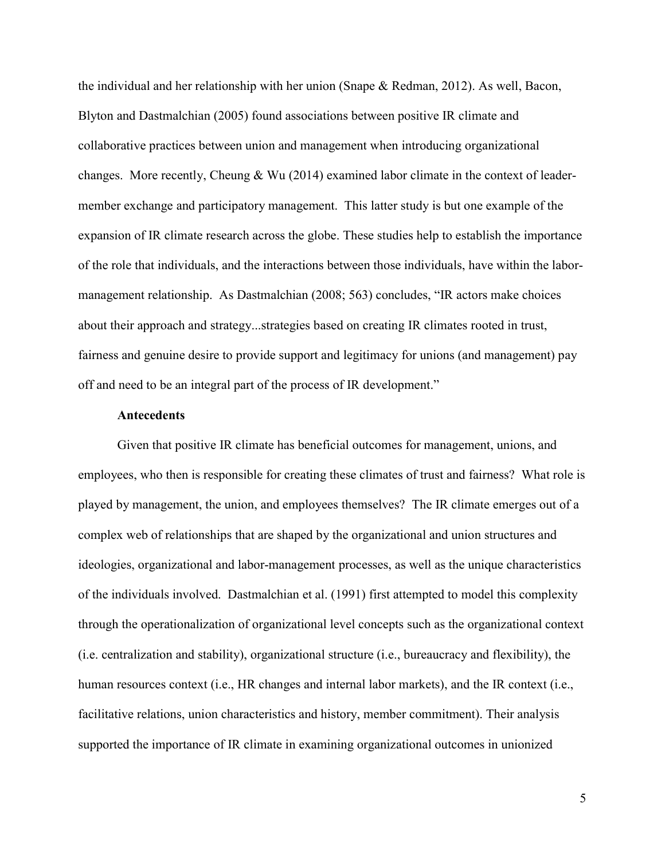the individual and her relationship with her union (Snape & Redman, 2012). As well, Bacon, Blyton and Dastmalchian (2005) found associations between positive IR climate and collaborative practices between union and management when introducing organizational changes. More recently, Cheung & Wu (2014) examined labor climate in the context of leadermember exchange and participatory management. This latter study is but one example of the expansion of IR climate research across the globe. These studies help to establish the importance of the role that individuals, and the interactions between those individuals, have within the labormanagement relationship. As Dastmalchian (2008; 563) concludes, "IR actors make choices about their approach and strategy...strategies based on creating IR climates rooted in trust, fairness and genuine desire to provide support and legitimacy for unions (and management) pay off and need to be an integral part of the process of IR development."

#### **Antecedents**

Given that positive IR climate has beneficial outcomes for management, unions, and employees, who then is responsible for creating these climates of trust and fairness? What role is played by management, the union, and employees themselves? The IR climate emerges out of a complex web of relationships that are shaped by the organizational and union structures and ideologies, organizational and labor-management processes, as well as the unique characteristics of the individuals involved. Dastmalchian et al. (1991) first attempted to model this complexity through the operationalization of organizational level concepts such as the organizational context (i.e. centralization and stability), organizational structure (i.e., bureaucracy and flexibility), the human resources context (i.e., HR changes and internal labor markets), and the IR context (i.e., facilitative relations, union characteristics and history, member commitment). Their analysis supported the importance of IR climate in examining organizational outcomes in unionized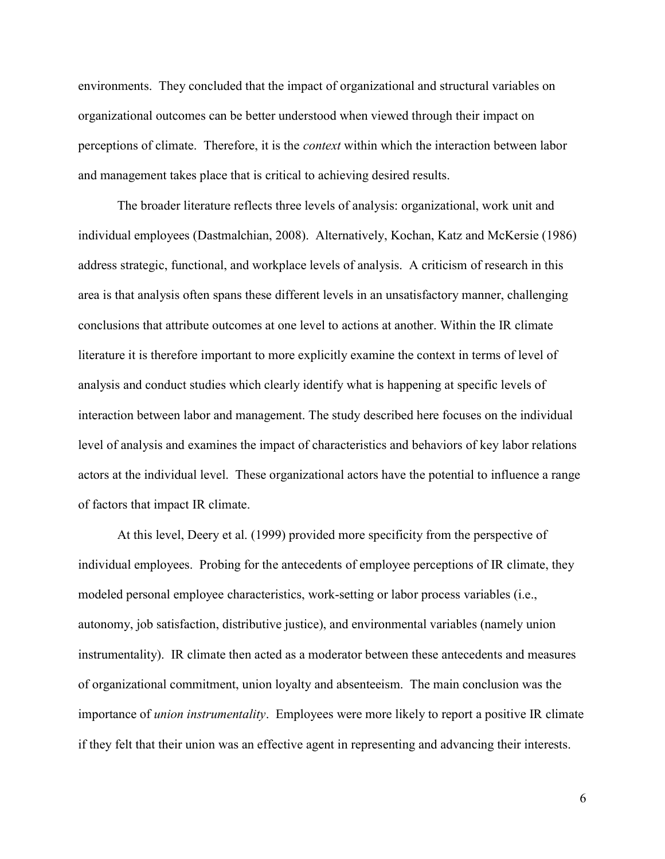environments. They concluded that the impact of organizational and structural variables on organizational outcomes can be better understood when viewed through their impact on perceptions of climate. Therefore, it is the context within which the interaction between labor and management takes place that is critical to achieving desired results.

The broader literature reflects three levels of analysis: organizational, work unit and individual employees (Dastmalchian, 2008). Alternatively, Kochan, Katz and McKersie (1986) address strategic, functional, and workplace levels of analysis. A criticism of research in this area is that analysis often spans these different levels in an unsatisfactory manner, challenging conclusions that attribute outcomes at one level to actions at another. Within the IR climate literature it is therefore important to more explicitly examine the context in terms of level of analysis and conduct studies which clearly identify what is happening at specific levels of interaction between labor and management. The study described here focuses on the individual level of analysis and examines the impact of characteristics and behaviors of key labor relations actors at the individual level. These organizational actors have the potential to influence a range of factors that impact IR climate.

At this level, Deery et al. (1999) provided more specificity from the perspective of individual employees. Probing for the antecedents of employee perceptions of IR climate, they modeled personal employee characteristics, work-setting or labor process variables (i.e., autonomy, job satisfaction, distributive justice), and environmental variables (namely union instrumentality). IR climate then acted as a moderator between these antecedents and measures of organizational commitment, union loyalty and absenteeism. The main conclusion was the importance of *union instrumentality*. Employees were more likely to report a positive IR climate if they felt that their union was an effective agent in representing and advancing their interests.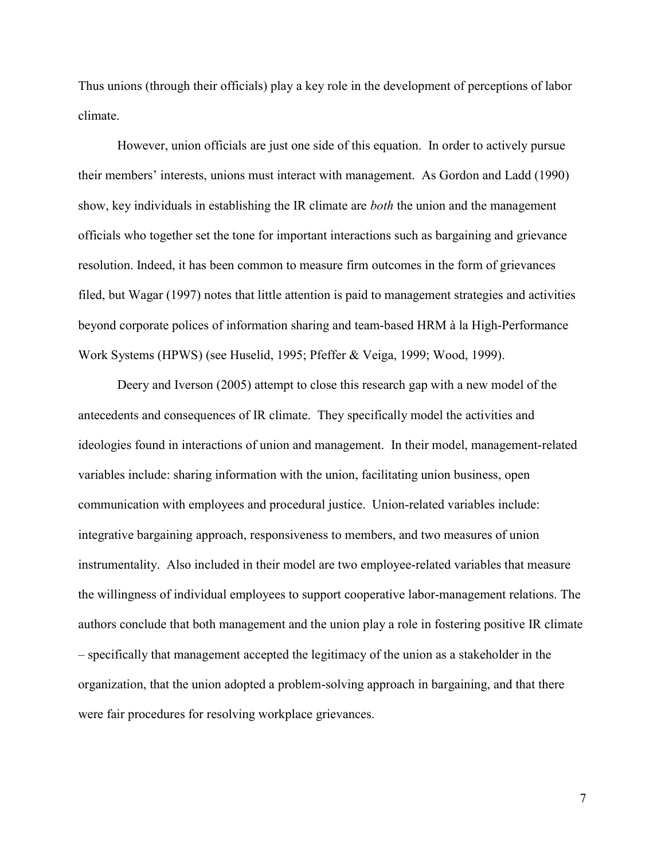Thus unions (through their officials) play a key role in the development of perceptions of labor climate.

However, union officials are just one side of this equation. In order to actively pursue their members' interests, unions must interact with management. As Gordon and Ladd (1990) show, key individuals in establishing the IR climate are *both* the union and the management officials who together set the tone for important interactions such as bargaining and grievance resolution. Indeed, it has been common to measure firm outcomes in the form of grievances filed, but Wagar (1997) notes that little attention is paid to management strategies and activities beyond corporate polices of information sharing and team-based HRM à la High-Performance Work Systems (HPWS) (see Huselid, 1995; Pfeffer & Veiga, 1999; Wood, 1999).

Deery and Iverson (2005) attempt to close this research gap with a new model of the antecedents and consequences of IR climate. They specifically model the activities and ideologies found in interactions of union and management. In their model, management-related variables include: sharing information with the union, facilitating union business, open communication with employees and procedural justice. Union-related variables include: integrative bargaining approach, responsiveness to members, and two measures of union instrumentality. Also included in their model are two employee-related variables that measure the willingness of individual employees to support cooperative labor-management relations. The authors conclude that both management and the union play a role in fostering positive IR climate – specifically that management accepted the legitimacy of the union as a stakeholder in the organization, that the union adopted a problem-solving approach in bargaining, and that there were fair procedures for resolving workplace grievances.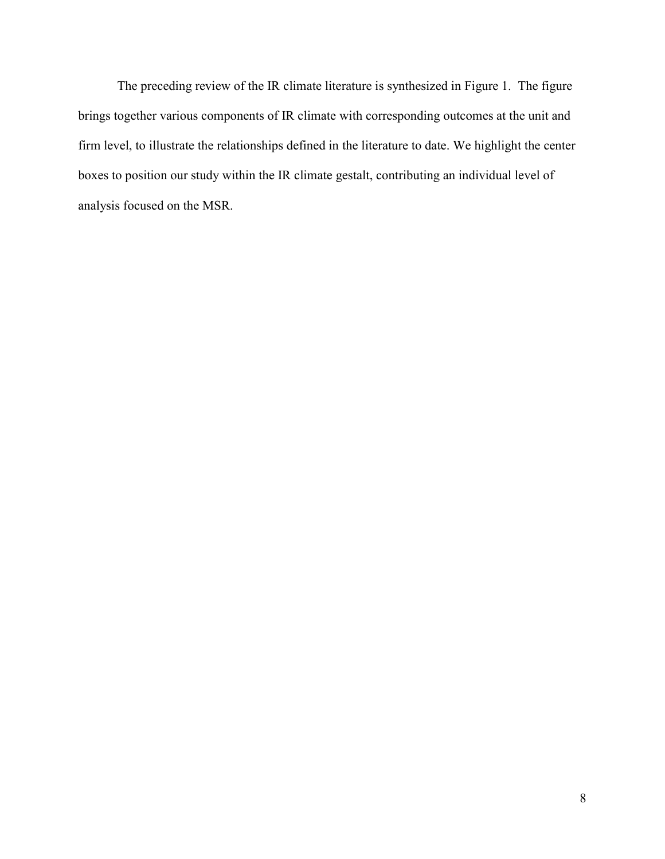The preceding review of the IR climate literature is synthesized in Figure 1. The figure brings together various components of IR climate with corresponding outcomes at the unit and firm level, to illustrate the relationships defined in the literature to date. We highlight the center boxes to position our study within the IR climate gestalt, contributing an individual level of analysis focused on the MSR.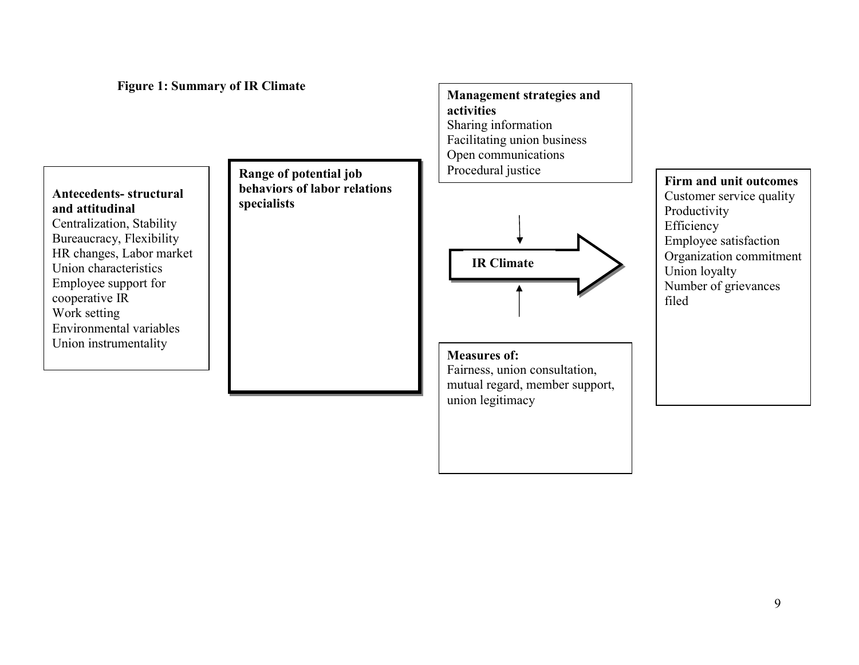Figure 1: Summary of IR Climate

Antecedents- structural and attitudinal Centralization, Stability Bureaucracy, Flexibility HR changes, Labor market Union characteristics Employee support for cooperative IR Work setting Environmental variables Union instrumentality

Range of potential job behaviors of labor relations specialists



Management strategies and

Sharing information

activities

Measures of: Fairness, union consultation, mutual regard, member support, union legitimacy

Firm and unit outcomes Customer service quality Productivity Efficiency Employee satisfaction Organization commitment Union loyalty Number of grievances filed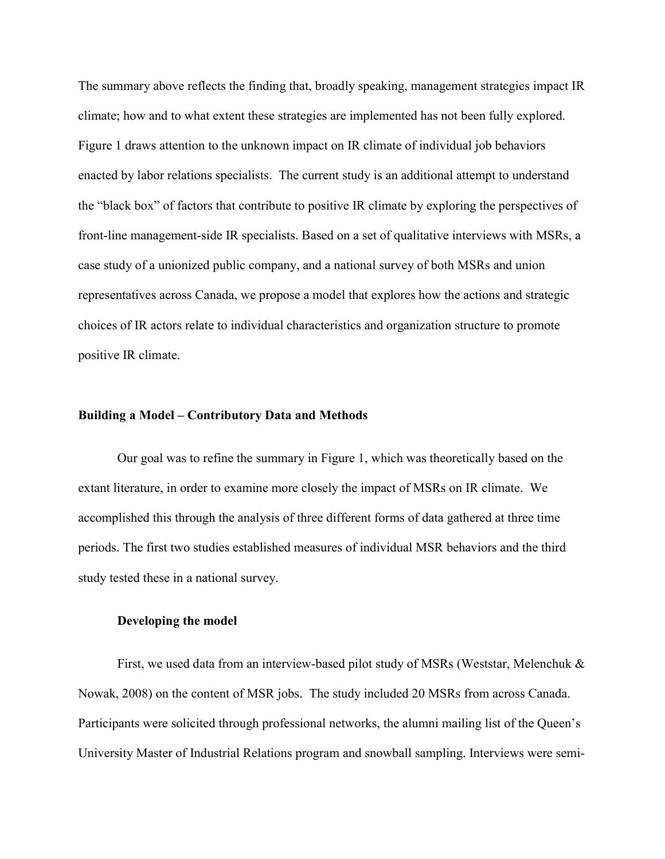The summary above reflects the finding that, broadly speaking, management strategies impact IR climate; how and to what extent these strategies are implemented has not been fully explored. Figure 1 draws attention to the unknown impact on IR climate of individual job behaviors enacted by labor relations specialists. The current study is an additional attempt to understand the "black box" of factors that contribute to positive IR climate by exploring the perspectives of front-line management-side IR specialists. Based on a set of qualitative interviews with MSRs, a case study of a unionized public company, and a national survey of both MSRs and union representatives across Canada, we propose a model that explores how the actions and strategic choices of IR actors relate to individual characteristics and organization structure to promote positive IR climate.

#### Building a Model – Contributory Data and Methods

Our goal was to refine the summary in Figure 1, which was theoretically based on the extant literature, in order to examine more closely the impact of MSRs on IR climate. We accomplished this through the analysis of three different forms of data gathered at three time periods. The first two studies established measures of individual MSR behaviors and the third study tested these in a national survey.

#### Developing the model

First, we used data from an interview-based pilot study of MSRs (Weststar, Melenchuk & Nowak, 2008) on the content of MSR jobs. The study included 20 MSRs from across Canada. Participants were solicited through professional networks, the alumni mailing list of the Queen's University Master of Industrial Relations program and snowball sampling. Interviews were semi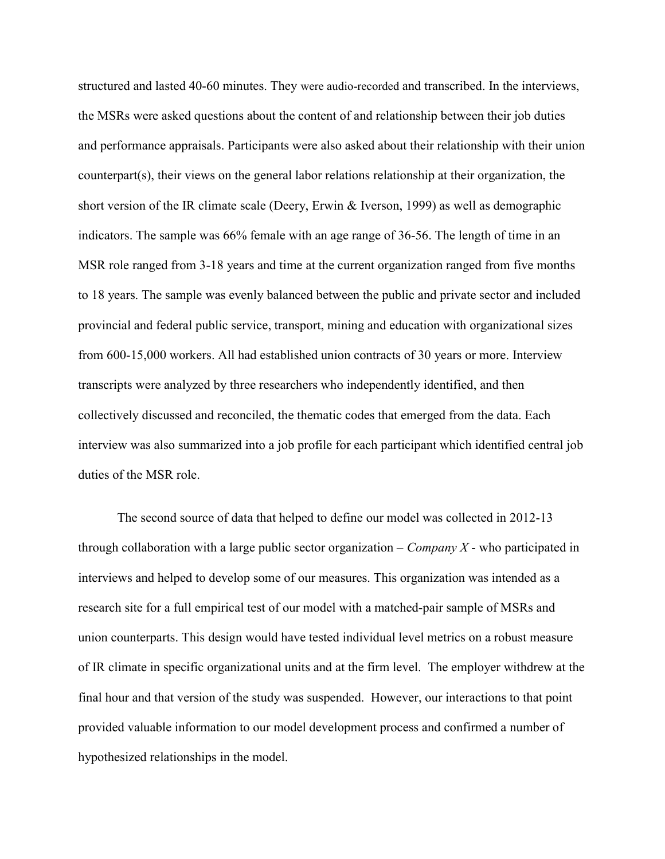structured and lasted 40-60 minutes. They were audio-recorded and transcribed. In the interviews, the MSRs were asked questions about the content of and relationship between their job duties and performance appraisals. Participants were also asked about their relationship with their union counterpart(s), their views on the general labor relations relationship at their organization, the short version of the IR climate scale (Deery, Erwin & Iverson, 1999) as well as demographic indicators. The sample was 66% female with an age range of 36-56. The length of time in an MSR role ranged from 3-18 years and time at the current organization ranged from five months to 18 years. The sample was evenly balanced between the public and private sector and included provincial and federal public service, transport, mining and education with organizational sizes from 600-15,000 workers. All had established union contracts of 30 years or more. Interview transcripts were analyzed by three researchers who independently identified, and then collectively discussed and reconciled, the thematic codes that emerged from the data. Each interview was also summarized into a job profile for each participant which identified central job duties of the MSR role.

The second source of data that helped to define our model was collected in 2012-13 through collaboration with a large public sector organization – Company  $X$  - who participated in interviews and helped to develop some of our measures. This organization was intended as a research site for a full empirical test of our model with a matched-pair sample of MSRs and union counterparts. This design would have tested individual level metrics on a robust measure of IR climate in specific organizational units and at the firm level. The employer withdrew at the final hour and that version of the study was suspended. However, our interactions to that point provided valuable information to our model development process and confirmed a number of hypothesized relationships in the model.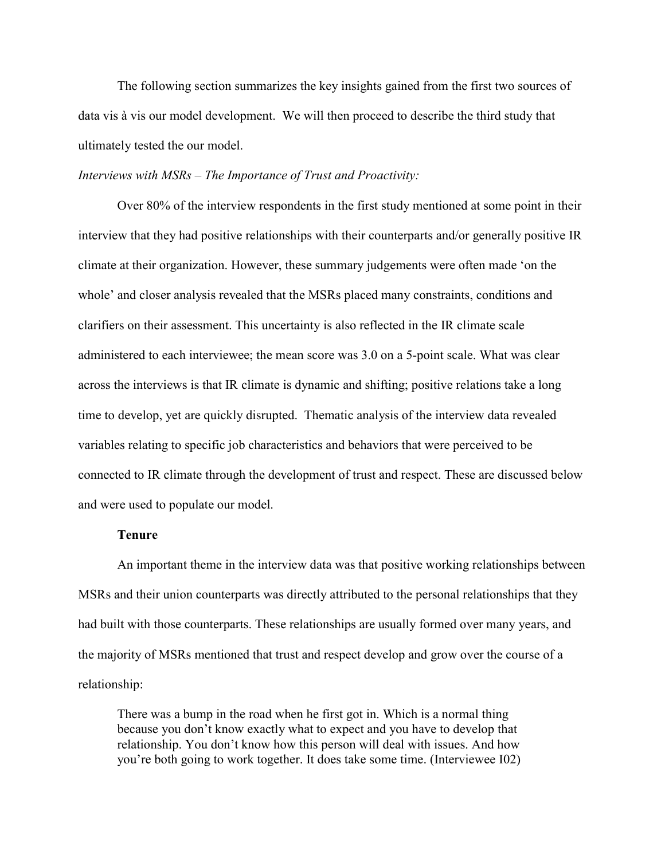The following section summarizes the key insights gained from the first two sources of data vis à vis our model development. We will then proceed to describe the third study that ultimately tested the our model.

#### Interviews with MSRs – The Importance of Trust and Proactivity:

Over 80% of the interview respondents in the first study mentioned at some point in their interview that they had positive relationships with their counterparts and/or generally positive IR climate at their organization. However, these summary judgements were often made 'on the whole' and closer analysis revealed that the MSRs placed many constraints, conditions and clarifiers on their assessment. This uncertainty is also reflected in the IR climate scale administered to each interviewee; the mean score was 3.0 on a 5-point scale. What was clear across the interviews is that IR climate is dynamic and shifting; positive relations take a long time to develop, yet are quickly disrupted. Thematic analysis of the interview data revealed variables relating to specific job characteristics and behaviors that were perceived to be connected to IR climate through the development of trust and respect. These are discussed below and were used to populate our model.

#### Tenure

An important theme in the interview data was that positive working relationships between MSRs and their union counterparts was directly attributed to the personal relationships that they had built with those counterparts. These relationships are usually formed over many years, and the majority of MSRs mentioned that trust and respect develop and grow over the course of a relationship:

There was a bump in the road when he first got in. Which is a normal thing because you don't know exactly what to expect and you have to develop that relationship. You don't know how this person will deal with issues. And how you're both going to work together. It does take some time. (Interviewee I02)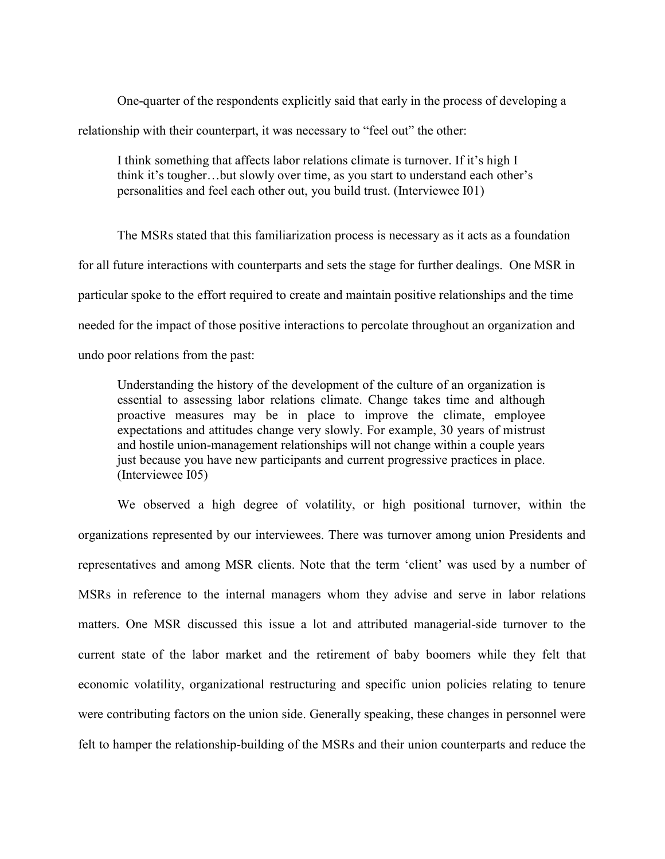One-quarter of the respondents explicitly said that early in the process of developing a relationship with their counterpart, it was necessary to "feel out" the other:

I think something that affects labor relations climate is turnover. If it's high I think it's tougher…but slowly over time, as you start to understand each other's personalities and feel each other out, you build trust. (Interviewee I01)

The MSRs stated that this familiarization process is necessary as it acts as a foundation for all future interactions with counterparts and sets the stage for further dealings. One MSR in particular spoke to the effort required to create and maintain positive relationships and the time needed for the impact of those positive interactions to percolate throughout an organization and undo poor relations from the past:

Understanding the history of the development of the culture of an organization is essential to assessing labor relations climate. Change takes time and although proactive measures may be in place to improve the climate, employee expectations and attitudes change very slowly. For example, 30 years of mistrust and hostile union-management relationships will not change within a couple years just because you have new participants and current progressive practices in place. (Interviewee I05)

We observed a high degree of volatility, or high positional turnover, within the organizations represented by our interviewees. There was turnover among union Presidents and representatives and among MSR clients. Note that the term 'client' was used by a number of MSRs in reference to the internal managers whom they advise and serve in labor relations matters. One MSR discussed this issue a lot and attributed managerial-side turnover to the current state of the labor market and the retirement of baby boomers while they felt that economic volatility, organizational restructuring and specific union policies relating to tenure were contributing factors on the union side. Generally speaking, these changes in personnel were felt to hamper the relationship-building of the MSRs and their union counterparts and reduce the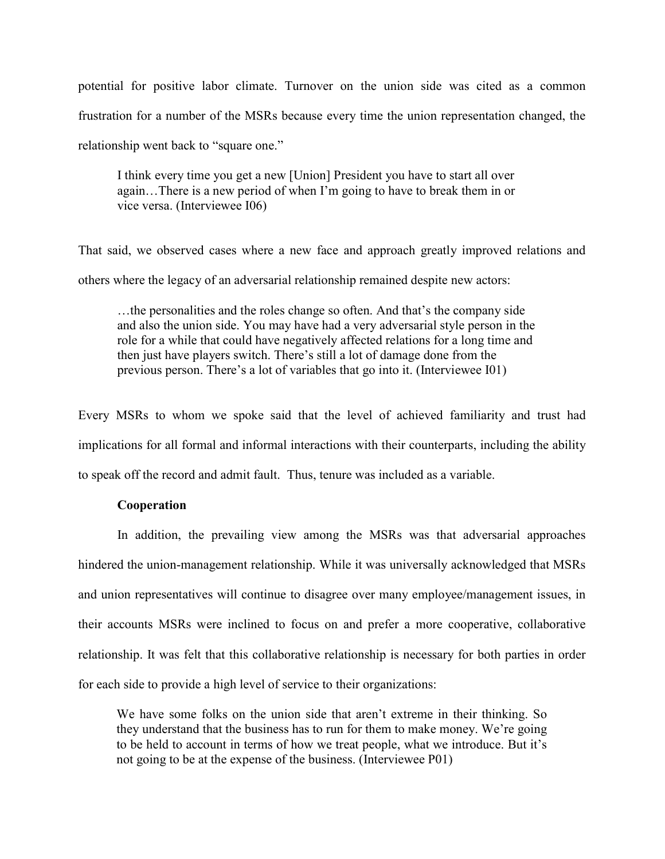potential for positive labor climate. Turnover on the union side was cited as a common frustration for a number of the MSRs because every time the union representation changed, the relationship went back to "square one."

I think every time you get a new [Union] President you have to start all over again…There is a new period of when I'm going to have to break them in or vice versa. (Interviewee I06)

That said, we observed cases where a new face and approach greatly improved relations and others where the legacy of an adversarial relationship remained despite new actors:

…the personalities and the roles change so often. And that's the company side and also the union side. You may have had a very adversarial style person in the role for a while that could have negatively affected relations for a long time and then just have players switch. There's still a lot of damage done from the previous person. There's a lot of variables that go into it. (Interviewee I01)

Every MSRs to whom we spoke said that the level of achieved familiarity and trust had implications for all formal and informal interactions with their counterparts, including the ability to speak off the record and admit fault. Thus, tenure was included as a variable.

#### Cooperation

In addition, the prevailing view among the MSRs was that adversarial approaches hindered the union-management relationship. While it was universally acknowledged that MSRs and union representatives will continue to disagree over many employee/management issues, in their accounts MSRs were inclined to focus on and prefer a more cooperative, collaborative relationship. It was felt that this collaborative relationship is necessary for both parties in order for each side to provide a high level of service to their organizations:

We have some folks on the union side that aren't extreme in their thinking. So they understand that the business has to run for them to make money. We're going to be held to account in terms of how we treat people, what we introduce. But it's not going to be at the expense of the business. (Interviewee P01)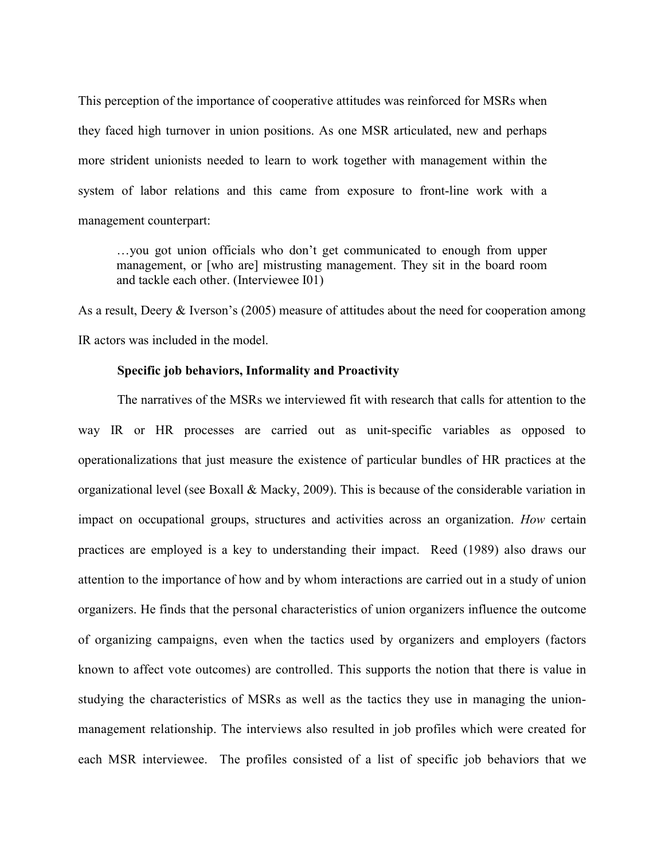This perception of the importance of cooperative attitudes was reinforced for MSRs when they faced high turnover in union positions. As one MSR articulated, new and perhaps more strident unionists needed to learn to work together with management within the system of labor relations and this came from exposure to front-line work with a management counterpart:

…you got union officials who don't get communicated to enough from upper management, or [who are] mistrusting management. They sit in the board room and tackle each other. (Interviewee I01)

As a result, Deery & Iverson's (2005) measure of attitudes about the need for cooperation among IR actors was included in the model.

#### Specific job behaviors, Informality and Proactivity

The narratives of the MSRs we interviewed fit with research that calls for attention to the way IR or HR processes are carried out as unit-specific variables as opposed to operationalizations that just measure the existence of particular bundles of HR practices at the organizational level (see Boxall & Macky, 2009). This is because of the considerable variation in impact on occupational groups, structures and activities across an organization. How certain practices are employed is a key to understanding their impact. Reed (1989) also draws our attention to the importance of how and by whom interactions are carried out in a study of union organizers. He finds that the personal characteristics of union organizers influence the outcome of organizing campaigns, even when the tactics used by organizers and employers (factors known to affect vote outcomes) are controlled. This supports the notion that there is value in studying the characteristics of MSRs as well as the tactics they use in managing the unionmanagement relationship. The interviews also resulted in job profiles which were created for each MSR interviewee. The profiles consisted of a list of specific job behaviors that we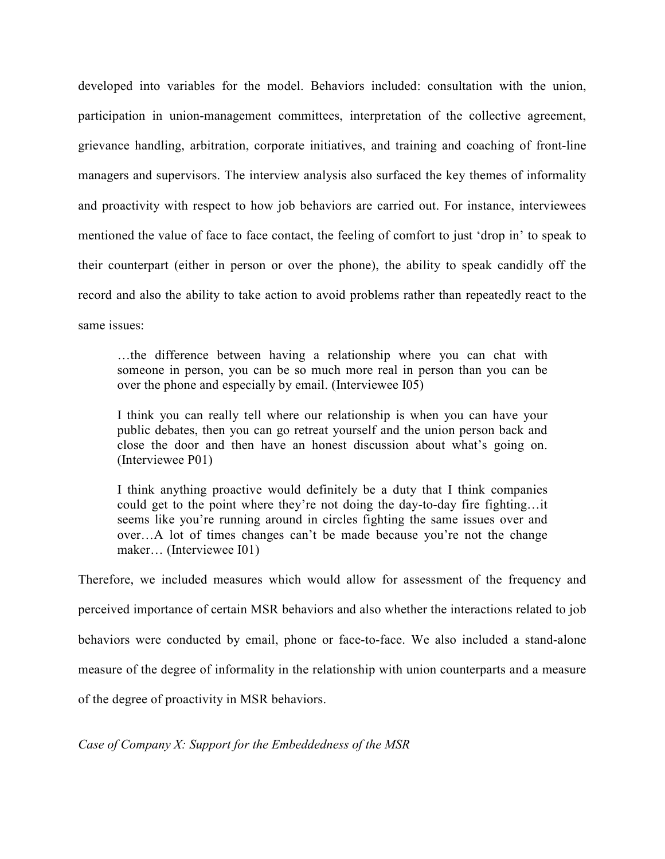developed into variables for the model. Behaviors included: consultation with the union, participation in union-management committees, interpretation of the collective agreement, grievance handling, arbitration, corporate initiatives, and training and coaching of front-line managers and supervisors. The interview analysis also surfaced the key themes of informality and proactivity with respect to how job behaviors are carried out. For instance, interviewees mentioned the value of face to face contact, the feeling of comfort to just 'drop in' to speak to their counterpart (either in person or over the phone), the ability to speak candidly off the record and also the ability to take action to avoid problems rather than repeatedly react to the same issues:

…the difference between having a relationship where you can chat with someone in person, you can be so much more real in person than you can be over the phone and especially by email. (Interviewee I05)

I think you can really tell where our relationship is when you can have your public debates, then you can go retreat yourself and the union person back and close the door and then have an honest discussion about what's going on. (Interviewee P01)

I think anything proactive would definitely be a duty that I think companies could get to the point where they're not doing the day-to-day fire fighting…it seems like you're running around in circles fighting the same issues over and over…A lot of times changes can't be made because you're not the change maker… (Interviewee I01)

Therefore, we included measures which would allow for assessment of the frequency and perceived importance of certain MSR behaviors and also whether the interactions related to job behaviors were conducted by email, phone or face-to-face. We also included a stand-alone measure of the degree of informality in the relationship with union counterparts and a measure of the degree of proactivity in MSR behaviors.

Case of Company X: Support for the Embeddedness of the MSR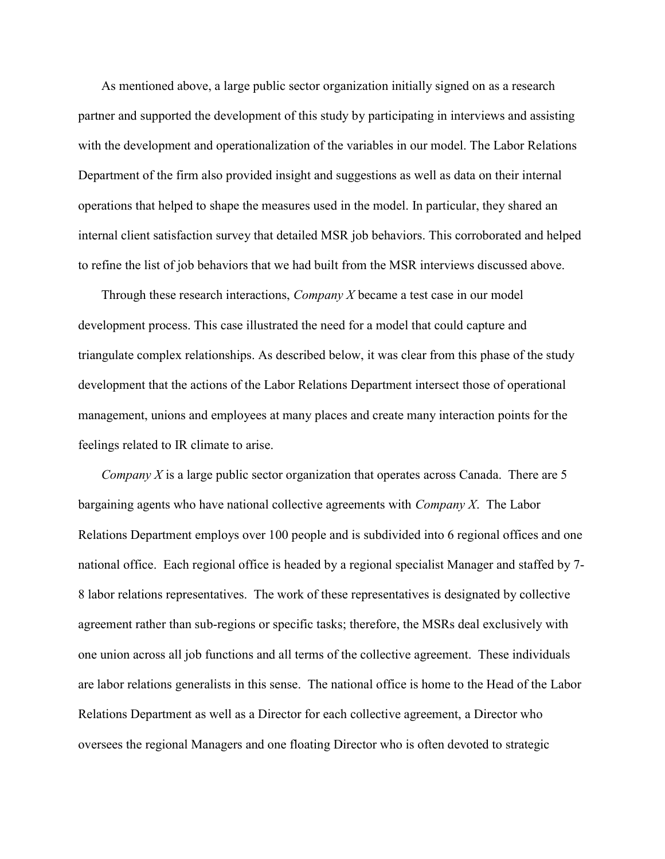As mentioned above, a large public sector organization initially signed on as a research partner and supported the development of this study by participating in interviews and assisting with the development and operationalization of the variables in our model. The Labor Relations Department of the firm also provided insight and suggestions as well as data on their internal operations that helped to shape the measures used in the model. In particular, they shared an internal client satisfaction survey that detailed MSR job behaviors. This corroborated and helped to refine the list of job behaviors that we had built from the MSR interviews discussed above.

Through these research interactions,  $\mathit{Compary}$  X became a test case in our model development process. This case illustrated the need for a model that could capture and triangulate complex relationships. As described below, it was clear from this phase of the study development that the actions of the Labor Relations Department intersect those of operational management, unions and employees at many places and create many interaction points for the feelings related to IR climate to arise.

*Company X* is a large public sector organization that operates across Canada. There are 5 bargaining agents who have national collective agreements with *Company X*. The Labor Relations Department employs over 100 people and is subdivided into 6 regional offices and one national office. Each regional office is headed by a regional specialist Manager and staffed by 7- 8 labor relations representatives. The work of these representatives is designated by collective agreement rather than sub-regions or specific tasks; therefore, the MSRs deal exclusively with one union across all job functions and all terms of the collective agreement. These individuals are labor relations generalists in this sense. The national office is home to the Head of the Labor Relations Department as well as a Director for each collective agreement, a Director who oversees the regional Managers and one floating Director who is often devoted to strategic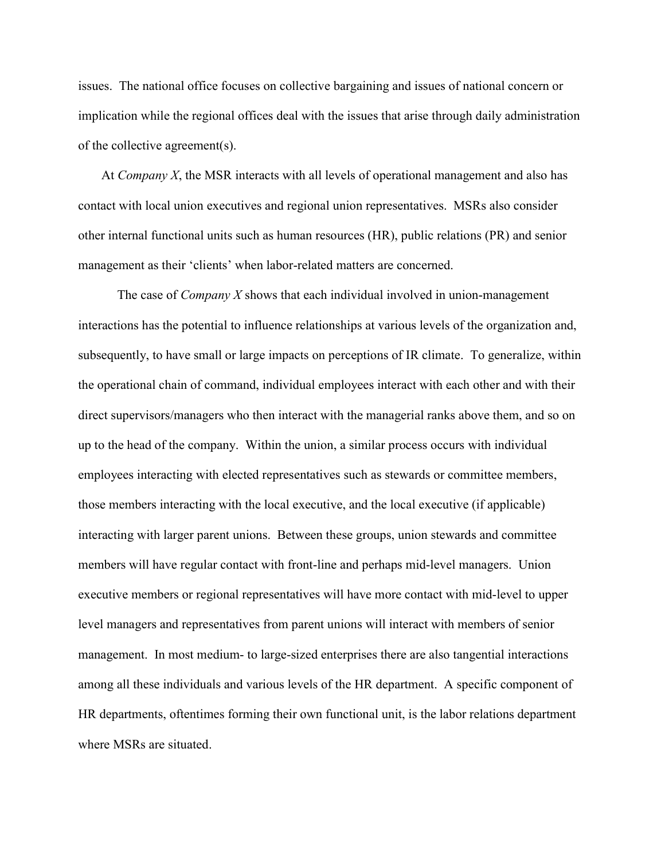issues. The national office focuses on collective bargaining and issues of national concern or implication while the regional offices deal with the issues that arise through daily administration of the collective agreement(s).

At Company  $X$ , the MSR interacts with all levels of operational management and also has contact with local union executives and regional union representatives. MSRs also consider other internal functional units such as human resources (HR), public relations (PR) and senior management as their 'clients' when labor-related matters are concerned.

The case of *Company X* shows that each individual involved in union-management interactions has the potential to influence relationships at various levels of the organization and, subsequently, to have small or large impacts on perceptions of IR climate. To generalize, within the operational chain of command, individual employees interact with each other and with their direct supervisors/managers who then interact with the managerial ranks above them, and so on up to the head of the company. Within the union, a similar process occurs with individual employees interacting with elected representatives such as stewards or committee members, those members interacting with the local executive, and the local executive (if applicable) interacting with larger parent unions. Between these groups, union stewards and committee members will have regular contact with front-line and perhaps mid-level managers. Union executive members or regional representatives will have more contact with mid-level to upper level managers and representatives from parent unions will interact with members of senior management. In most medium- to large-sized enterprises there are also tangential interactions among all these individuals and various levels of the HR department. A specific component of HR departments, oftentimes forming their own functional unit, is the labor relations department where MSRs are situated.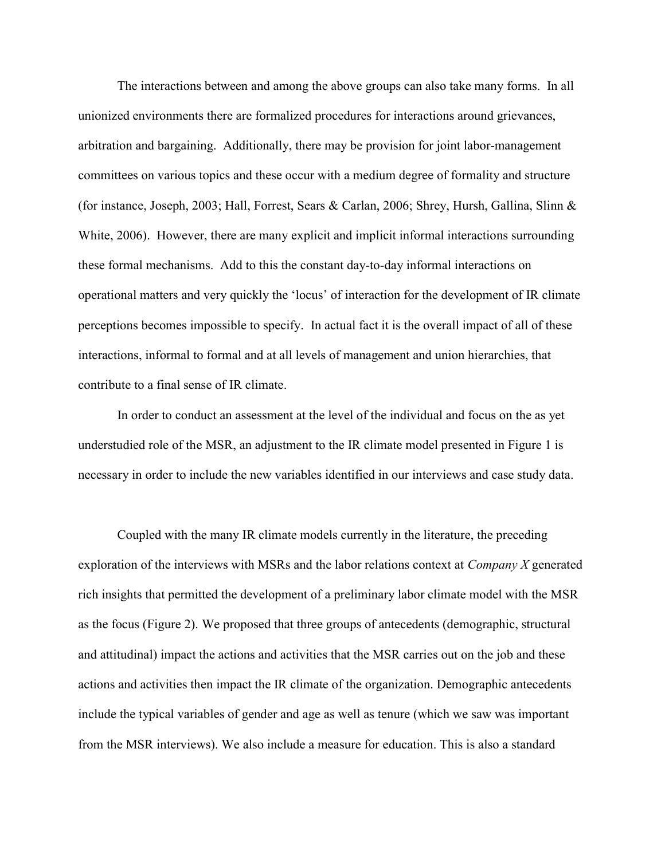The interactions between and among the above groups can also take many forms. In all unionized environments there are formalized procedures for interactions around grievances, arbitration and bargaining. Additionally, there may be provision for joint labor-management committees on various topics and these occur with a medium degree of formality and structure (for instance, Joseph, 2003; Hall, Forrest, Sears & Carlan, 2006; Shrey, Hursh, Gallina, Slinn & White, 2006). However, there are many explicit and implicit informal interactions surrounding these formal mechanisms. Add to this the constant day-to-day informal interactions on operational matters and very quickly the 'locus' of interaction for the development of IR climate perceptions becomes impossible to specify. In actual fact it is the overall impact of all of these interactions, informal to formal and at all levels of management and union hierarchies, that contribute to a final sense of IR climate.

In order to conduct an assessment at the level of the individual and focus on the as yet understudied role of the MSR, an adjustment to the IR climate model presented in Figure 1 is necessary in order to include the new variables identified in our interviews and case study data.

Coupled with the many IR climate models currently in the literature, the preceding exploration of the interviews with MSRs and the labor relations context at *Company X* generated rich insights that permitted the development of a preliminary labor climate model with the MSR as the focus (Figure 2). We proposed that three groups of antecedents (demographic, structural and attitudinal) impact the actions and activities that the MSR carries out on the job and these actions and activities then impact the IR climate of the organization. Demographic antecedents include the typical variables of gender and age as well as tenure (which we saw was important from the MSR interviews). We also include a measure for education. This is also a standard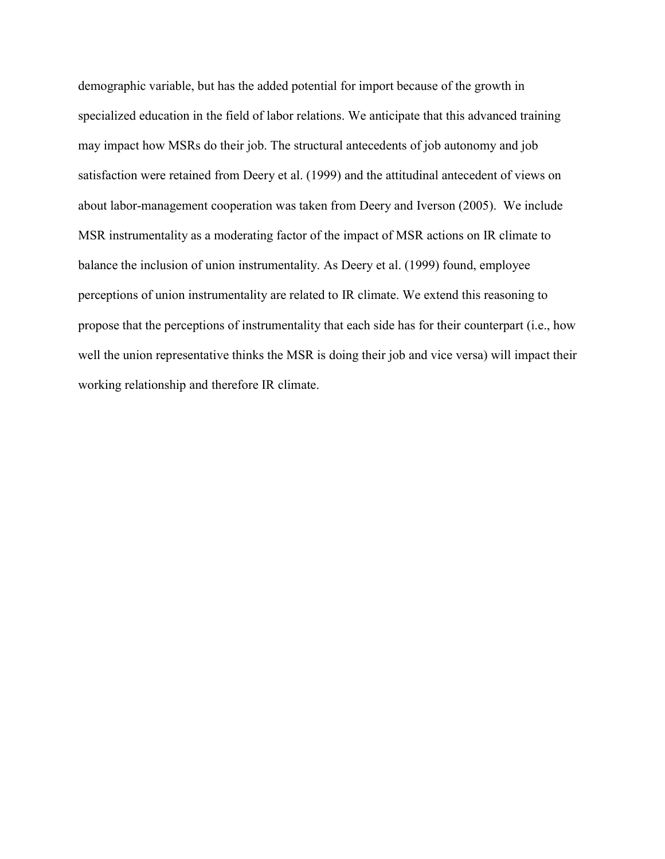demographic variable, but has the added potential for import because of the growth in specialized education in the field of labor relations. We anticipate that this advanced training may impact how MSRs do their job. The structural antecedents of job autonomy and job satisfaction were retained from Deery et al. (1999) and the attitudinal antecedent of views on about labor-management cooperation was taken from Deery and Iverson (2005). We include MSR instrumentality as a moderating factor of the impact of MSR actions on IR climate to balance the inclusion of union instrumentality. As Deery et al. (1999) found, employee perceptions of union instrumentality are related to IR climate. We extend this reasoning to propose that the perceptions of instrumentality that each side has for their counterpart (i.e., how well the union representative thinks the MSR is doing their job and vice versa) will impact their working relationship and therefore IR climate.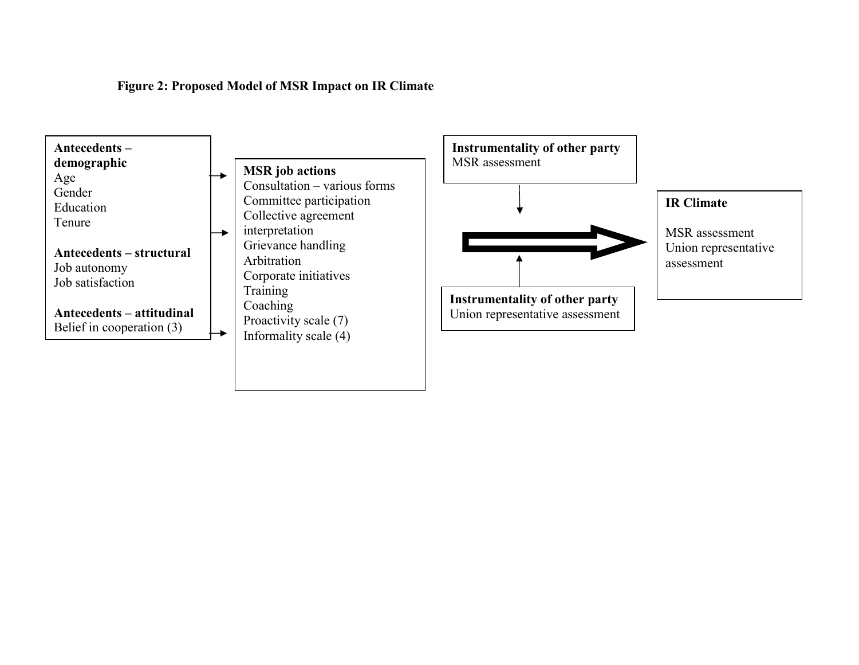Figure 2: Proposed Model of MSR Impact on IR Climate

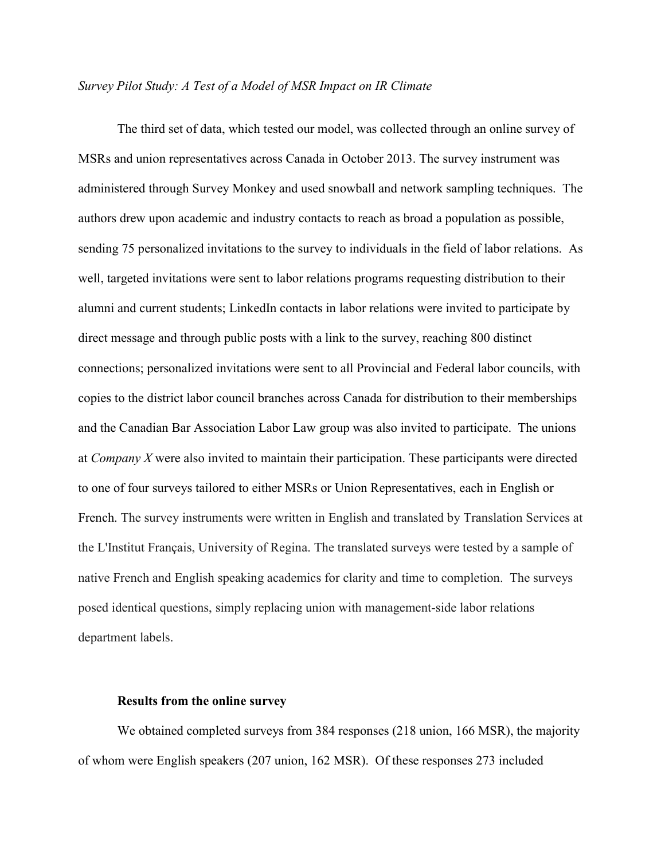#### Survey Pilot Study: A Test of a Model of MSR Impact on IR Climate

The third set of data, which tested our model, was collected through an online survey of MSRs and union representatives across Canada in October 2013. The survey instrument was administered through Survey Monkey and used snowball and network sampling techniques. The authors drew upon academic and industry contacts to reach as broad a population as possible, sending 75 personalized invitations to the survey to individuals in the field of labor relations. As well, targeted invitations were sent to labor relations programs requesting distribution to their alumni and current students; LinkedIn contacts in labor relations were invited to participate by direct message and through public posts with a link to the survey, reaching 800 distinct connections; personalized invitations were sent to all Provincial and Federal labor councils, with copies to the district labor council branches across Canada for distribution to their memberships and the Canadian Bar Association Labor Law group was also invited to participate. The unions at Company X were also invited to maintain their participation. These participants were directed to one of four surveys tailored to either MSRs or Union Representatives, each in English or French. The survey instruments were written in English and translated by Translation Services at the L'Institut Français, University of Regina. The translated surveys were tested by a sample of native French and English speaking academics for clarity and time to completion. The surveys posed identical questions, simply replacing union with management-side labor relations department labels.

#### Results from the online survey

We obtained completed surveys from 384 responses (218 union, 166 MSR), the majority of whom were English speakers (207 union, 162 MSR). Of these responses 273 included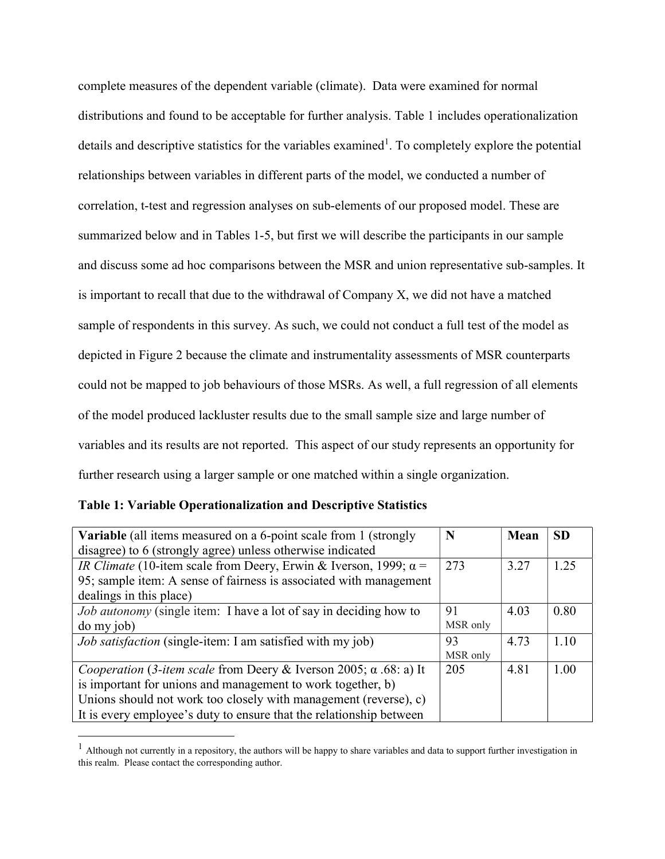complete measures of the dependent variable (climate). Data were examined for normal distributions and found to be acceptable for further analysis. Table 1 includes operationalization details and descriptive statistics for the variables examined<sup>1</sup>. To completely explore the potential relationships between variables in different parts of the model, we conducted a number of correlation, t-test and regression analyses on sub-elements of our proposed model. These are summarized below and in Tables 1-5, but first we will describe the participants in our sample and discuss some ad hoc comparisons between the MSR and union representative sub-samples. It is important to recall that due to the withdrawal of Company X, we did not have a matched sample of respondents in this survey. As such, we could not conduct a full test of the model as depicted in Figure 2 because the climate and instrumentality assessments of MSR counterparts could not be mapped to job behaviours of those MSRs. As well, a full regression of all elements of the model produced lackluster results due to the small sample size and large number of variables and its results are not reported. This aspect of our study represents an opportunity for further research using a larger sample or one matched within a single organization.

| <b>Variable</b> (all items measured on a 6-point scale from 1 (strongly        | N        | Mean | <b>SD</b> |
|--------------------------------------------------------------------------------|----------|------|-----------|
| disagree) to 6 (strongly agree) unless otherwise indicated                     |          |      |           |
| <i>IR Climate</i> (10-item scale from Deery, Erwin & Iverson, 1999; $\alpha$ = | 273      | 3.27 | 1.25      |
| 95; sample item: A sense of fairness is associated with management             |          |      |           |
| dealings in this place)                                                        |          |      |           |
| Job autonomy (single item: I have a lot of say in deciding how to              | 91       | 4.03 | 0.80      |
| do my job)                                                                     | MSR only |      |           |
| <i>Job satisfaction</i> (single-item: I am satisfied with my job)              | 93       | 4.73 | 1.10      |
|                                                                                | MSR only |      |           |
| Cooperation (3-item scale from Deery & Iverson 2005; $\alpha$ .68: a) It       | 205      | 4.81 | 1.00      |
| is important for unions and management to work together, b)                    |          |      |           |
| Unions should not work too closely with management (reverse), c)               |          |      |           |
| It is every employee's duty to ensure that the relationship between            |          |      |           |

Table 1: Variable Operationalization and Descriptive Statistics

 $\overline{a}$ 

 $<sup>1</sup>$  Although not currently in a repository, the authors will be happy to share variables and data to support further investigation in</sup> this realm. Please contact the corresponding author.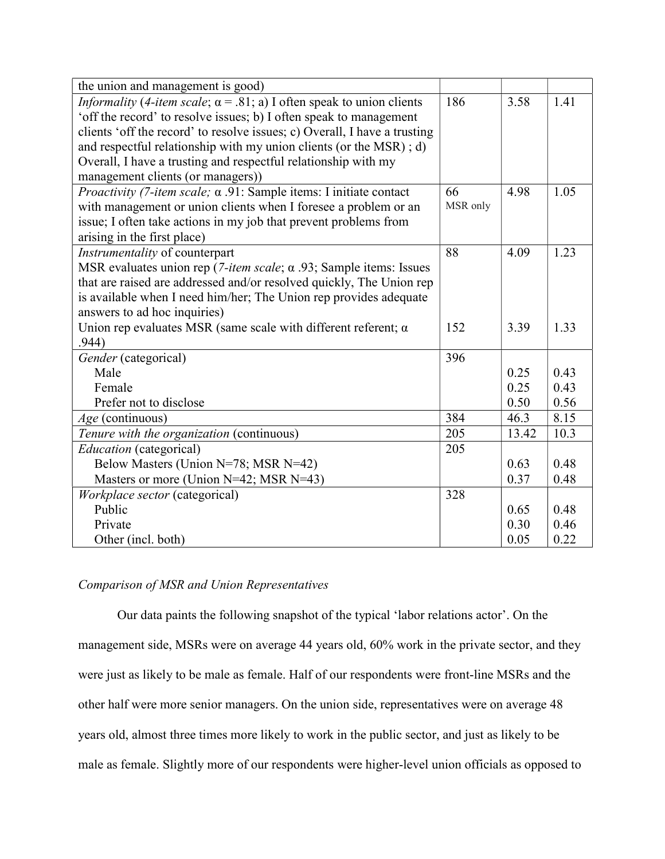| the union and management is good)                                                           |          |       |      |
|---------------------------------------------------------------------------------------------|----------|-------|------|
| <i>Informality</i> (4-item scale; $\alpha$ = .81; a) I often speak to union clients         | 186      | 3.58  | 1.41 |
| 'off the record' to resolve issues; b) I often speak to management                          |          |       |      |
| clients 'off the record' to resolve issues; c) Overall, I have a trusting                   |          |       |      |
| and respectful relationship with my union clients (or the MSR); d)                          |          |       |      |
| Overall, I have a trusting and respectful relationship with my                              |          |       |      |
| management clients (or managers))                                                           |          |       |      |
| <i>Proactivity (7-item scale; <math>\alpha</math> .91: Sample items: I initiate contact</i> | 66       | 4.98  | 1.05 |
| with management or union clients when I foresee a problem or an                             | MSR only |       |      |
| issue; I often take actions in my job that prevent problems from                            |          |       |      |
| arising in the first place)                                                                 |          |       |      |
| Instrumentality of counterpart                                                              | 88       | 4.09  | 1.23 |
| MSR evaluates union rep (7-item scale; $\alpha$ .93; Sample items: Issues                   |          |       |      |
| that are raised are addressed and/or resolved quickly, The Union rep                        |          |       |      |
| is available when I need him/her; The Union rep provides adequate                           |          |       |      |
| answers to ad hoc inquiries)                                                                |          |       |      |
| Union rep evaluates MSR (same scale with different referent; $\alpha$                       | 152      | 3.39  | 1.33 |
| .944)                                                                                       |          |       |      |
| Gender (categorical)                                                                        | 396      |       |      |
| Male                                                                                        |          | 0.25  | 0.43 |
| Female                                                                                      |          | 0.25  | 0.43 |
| Prefer not to disclose                                                                      |          | 0.50  | 0.56 |
| Age (continuous)                                                                            | 384      | 46.3  | 8.15 |
| Tenure with the organization (continuous)                                                   | 205      | 13.42 | 10.3 |
| Education (categorical)                                                                     | 205      |       |      |
| Below Masters (Union N=78; MSR N=42)                                                        |          | 0.63  | 0.48 |
| Masters or more (Union N=42; MSR N=43)                                                      |          | 0.37  | 0.48 |
| Workplace sector (categorical)                                                              | 328      |       |      |
| Public                                                                                      |          | 0.65  | 0.48 |
| Private                                                                                     |          | 0.30  | 0.46 |
| Other (incl. both)                                                                          |          | 0.05  | 0.22 |

#### Comparison of MSR and Union Representatives

Our data paints the following snapshot of the typical 'labor relations actor'. On the management side, MSRs were on average 44 years old, 60% work in the private sector, and they were just as likely to be male as female. Half of our respondents were front-line MSRs and the other half were more senior managers. On the union side, representatives were on average 48 years old, almost three times more likely to work in the public sector, and just as likely to be male as female. Slightly more of our respondents were higher-level union officials as opposed to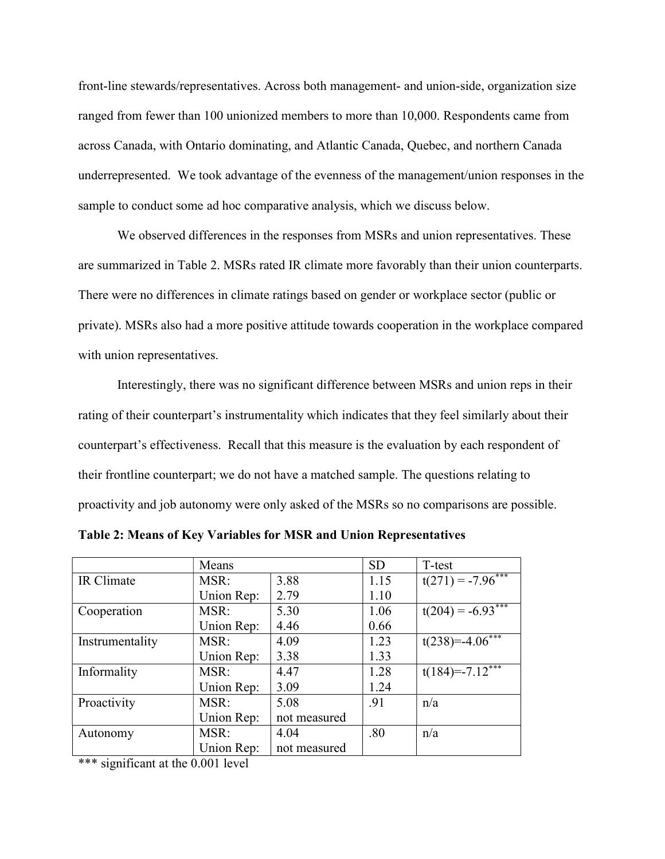front-line stewards/representatives. Across both management- and union-side, organization size ranged from fewer than 100 unionized members to more than 10,000. Respondents came from across Canada, with Ontario dominating, and Atlantic Canada, Quebec, and northern Canada underrepresented. We took advantage of the evenness of the management/union responses in the sample to conduct some ad hoc comparative analysis, which we discuss below.

We observed differences in the responses from MSRs and union representatives. These are summarized in Table 2. MSRs rated IR climate more favorably than their union counterparts. There were no differences in climate ratings based on gender or workplace sector (public or private). MSRs also had a more positive attitude towards cooperation in the workplace compared with union representatives.

Interestingly, there was no significant difference between MSRs and union reps in their rating of their counterpart's instrumentality which indicates that they feel similarly about their counterpart's effectiveness. Recall that this measure is the evaluation by each respondent of their frontline counterpart; we do not have a matched sample. The questions relating to proactivity and job autonomy were only asked of the MSRs so no comparisons are possible.

|                 | Means        |              | <b>SD</b> | T-test                        |
|-----------------|--------------|--------------|-----------|-------------------------------|
| IR Climate      | MSR:         | 3.88         | 1.15      | $t(271) = -7.96***$           |
|                 | Union Rep:   | 2.79         | 1.10      |                               |
| Cooperation     | MSR:         | 5.30         | 1.06      | $t(204) = -6.93***$           |
|                 | Union Rep:   | 4.46         | 0.66      |                               |
| Instrumentality | MSR:         | 4.09         | 1.23      | $t(238)=-4.06***$             |
|                 | Union Rep:   | 3.38         | 1.33      |                               |
| Informality     | 4.47<br>MSR: |              | 1.28      | $t(184)=-7.12$ <sup>***</sup> |
|                 | Union Rep:   | 3.09         | 1.24      |                               |
| Proactivity     | MSR:         | 5.08         | .91       | n/a                           |
|                 | Union Rep:   | not measured |           |                               |
| Autonomy        | MSR:<br>4.04 |              | .80       | n/a                           |
|                 | Union Rep:   | not measured |           |                               |

Table 2: Means of Key Variables for MSR and Union Representatives

\*\*\* significant at the 0.001 level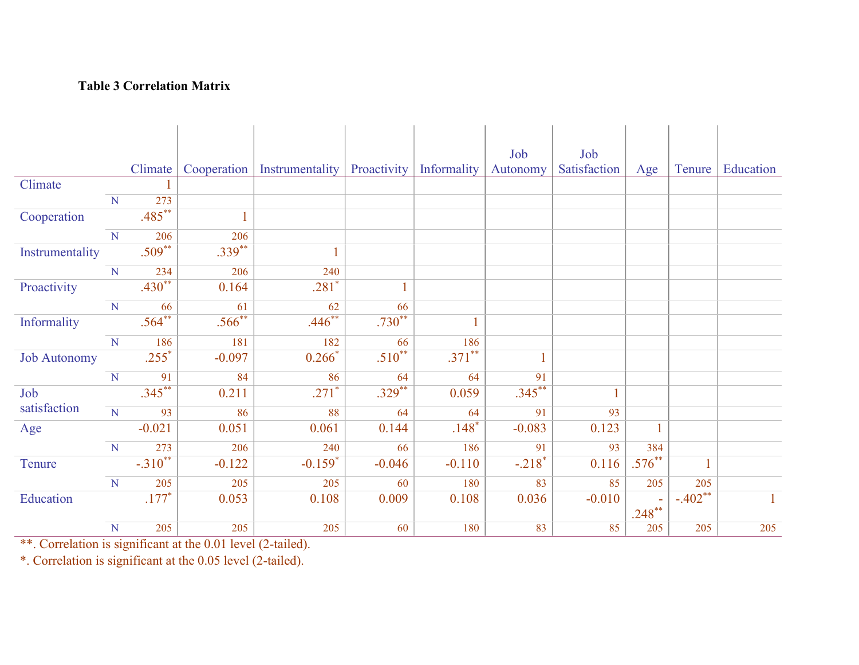### Table 3 Correlation Matrix

|                     |                         |           |             |                 |             |             | Job       | Job          |              |              |              |
|---------------------|-------------------------|-----------|-------------|-----------------|-------------|-------------|-----------|--------------|--------------|--------------|--------------|
|                     |                         | Climate   | Cooperation | Instrumentality | Proactivity | Informality | Autonomy  | Satisfaction | Age          | Tenure       | Education    |
| Climate             |                         |           |             |                 |             |             |           |              |              |              |              |
|                     | $\overline{N}$          | 273       |             |                 |             |             |           |              |              |              |              |
| Cooperation         |                         | $.485***$ |             |                 |             |             |           |              |              |              |              |
|                     | $\overline{N}$          | 206       | 206         |                 |             |             |           |              |              |              |              |
| Instrumentality     |                         | $.509**$  | $.339***$   |                 |             |             |           |              |              |              |              |
|                     | N                       | 234       | 206         | 240             |             |             |           |              |              |              |              |
| Proactivity         |                         | $.430**$  | 0.164       | $.281*$         |             |             |           |              |              |              |              |
|                     | $\overline{N}$          | 66        | 61          | 62              | 66          |             |           |              |              |              |              |
| Informality         |                         | $.564**$  | $.566***$   | $.446***$       | $.730***$   |             |           |              |              |              |              |
|                     | $\overline{N}$          | 186       | 181         | 182             | 66          | 186         |           |              |              |              |              |
| <b>Job Autonomy</b> |                         | $.255*$   | $-0.097$    | $0.266*$        | $.510**$    | $.371***$   |           |              |              |              |              |
|                     | $\mathbf N$             | 91        | 84          | 86              | 64          | 64          | 91        |              |              |              |              |
| Job                 |                         | $.345***$ | 0.211       | $.271*$         | $.329***$   | 0.059       | $.345***$ |              |              |              |              |
| satisfaction        | $\overline{\mathbf{N}}$ | 93        | 86          | 88              | 64          | 64          | 91        | 93           |              |              |              |
| Age                 |                         | $-0.021$  | 0.051       | 0.061           | 0.144       | $.148*$     | $-0.083$  | 0.123        | $\mathbf{1}$ |              |              |
|                     | $\overline{N}$          | 273       | 206         | 240             | 66          | 186         | 91        | 93           | 384          |              |              |
| Tenure              |                         | $-.310**$ | $-0.122$    | $-0.159*$       | $-0.046$    | $-0.110$    | $-.218*$  | 0.116        | $.576***$    | $\mathbf{1}$ |              |
|                     | $\overline{N}$          | 205       | 205         | 205             | 60          | 180         | 83        | 85           | 205          | 205          |              |
| Education           |                         | $.177*$   | 0.053       | 0.108           | 0.009       | 0.108       | 0.036     | $-0.010$     | $.248***$    | $-.402**$    | $\mathbf{1}$ |
|                     | ${\bf N}$               | 205       | 205         | 205             | 60          | 180         | 83        | 85           | 205          | 205          | 205          |

\*\*. Correlation is significant at the 0.01 level (2-tailed).

\*. Correlation is significant at the 0.05 level (2-tailed).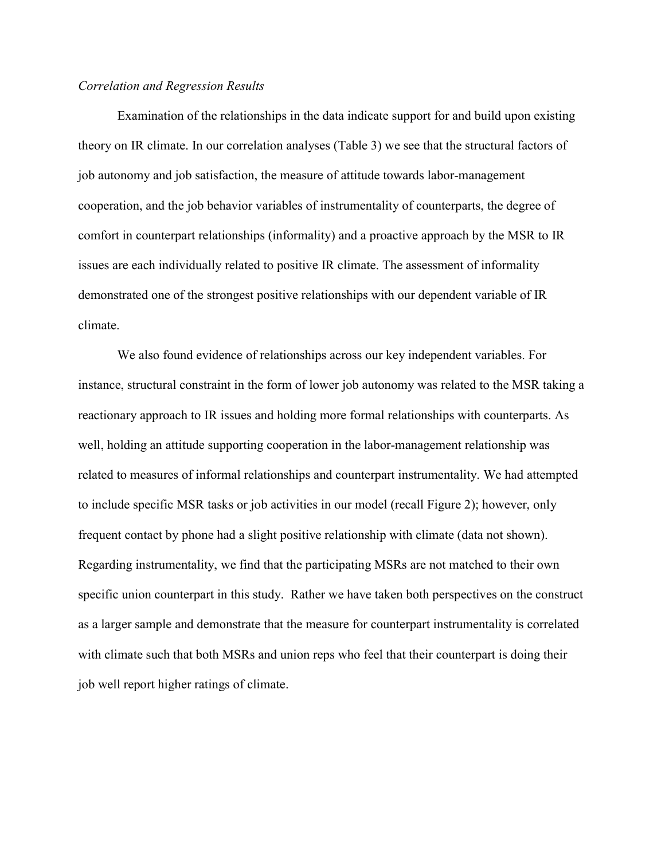#### Correlation and Regression Results

Examination of the relationships in the data indicate support for and build upon existing theory on IR climate. In our correlation analyses (Table 3) we see that the structural factors of job autonomy and job satisfaction, the measure of attitude towards labor-management cooperation, and the job behavior variables of instrumentality of counterparts, the degree of comfort in counterpart relationships (informality) and a proactive approach by the MSR to IR issues are each individually related to positive IR climate. The assessment of informality demonstrated one of the strongest positive relationships with our dependent variable of IR climate.

We also found evidence of relationships across our key independent variables. For instance, structural constraint in the form of lower job autonomy was related to the MSR taking a reactionary approach to IR issues and holding more formal relationships with counterparts. As well, holding an attitude supporting cooperation in the labor-management relationship was related to measures of informal relationships and counterpart instrumentality. We had attempted to include specific MSR tasks or job activities in our model (recall Figure 2); however, only frequent contact by phone had a slight positive relationship with climate (data not shown). Regarding instrumentality, we find that the participating MSRs are not matched to their own specific union counterpart in this study. Rather we have taken both perspectives on the construct as a larger sample and demonstrate that the measure for counterpart instrumentality is correlated with climate such that both MSRs and union reps who feel that their counterpart is doing their job well report higher ratings of climate.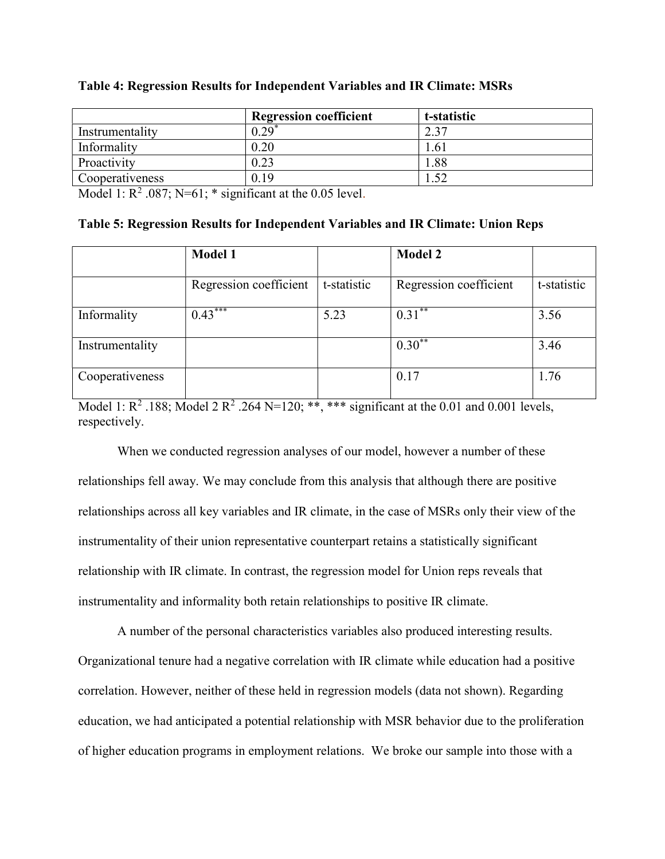|                 | <b>Regression coefficient</b> | t-statistic |
|-----------------|-------------------------------|-------------|
| Instrumentality | 0.29                          | C 27        |
| Informality     | 0.20                          | .61         |
| Proactivity     | 0.23                          | .88         |
| Cooperativeness | 0.19                          | 51<br>20J L |

#### Table 4: Regression Results for Independent Variables and IR Climate: MSRs

Model 1:  $R^2$  .087; N=61; \* significant at the 0.05 level.

|  |  | Table 5: Regression Results for Independent Variables and IR Climate: Union Reps |  |
|--|--|----------------------------------------------------------------------------------|--|
|  |  |                                                                                  |  |

|                 | <b>Model 1</b>         |             | <b>Model 2</b>         |             |
|-----------------|------------------------|-------------|------------------------|-------------|
|                 | Regression coefficient | t-statistic | Regression coefficient | t-statistic |
| Informality     | $0.43***$              | 5.23        | $0.31***$              | 3.56        |
| Instrumentality |                        |             | $0.30***$              | 3.46        |
| Cooperativeness |                        |             | 0.17                   | 1.76        |

Model 1:  $R^2$  .188; Model 2  $R^2$  .264 N=120; \*\*, \*\*\* significant at the 0.01 and 0.001 levels, respectively.

When we conducted regression analyses of our model, however a number of these relationships fell away. We may conclude from this analysis that although there are positive relationships across all key variables and IR climate, in the case of MSRs only their view of the instrumentality of their union representative counterpart retains a statistically significant relationship with IR climate. In contrast, the regression model for Union reps reveals that instrumentality and informality both retain relationships to positive IR climate.

A number of the personal characteristics variables also produced interesting results. Organizational tenure had a negative correlation with IR climate while education had a positive correlation. However, neither of these held in regression models (data not shown). Regarding education, we had anticipated a potential relationship with MSR behavior due to the proliferation of higher education programs in employment relations. We broke our sample into those with a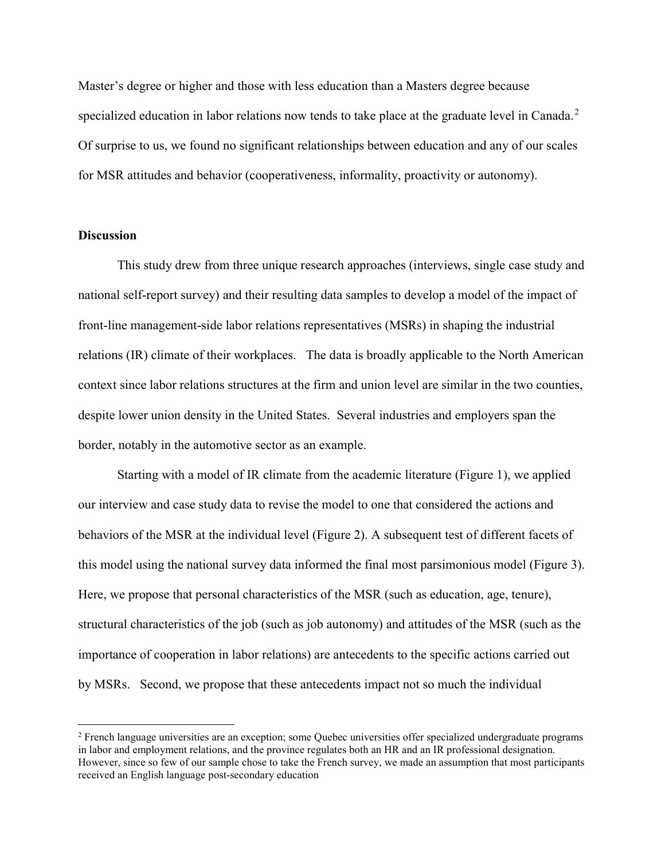Master's degree or higher and those with less education than a Masters degree because specialized education in labor relations now tends to take place at the graduate level in Canada.<sup>2</sup> Of surprise to us, we found no significant relationships between education and any of our scales for MSR attitudes and behavior (cooperativeness, informality, proactivity or autonomy).

#### **Discussion**

 $\overline{a}$ 

This study drew from three unique research approaches (interviews, single case study and national self-report survey) and their resulting data samples to develop a model of the impact of front-line management-side labor relations representatives (MSRs) in shaping the industrial relations (IR) climate of their workplaces. The data is broadly applicable to the North American context since labor relations structures at the firm and union level are similar in the two counties, despite lower union density in the United States. Several industries and employers span the border, notably in the automotive sector as an example.

Starting with a model of IR climate from the academic literature (Figure 1), we applied our interview and case study data to revise the model to one that considered the actions and behaviors of the MSR at the individual level (Figure 2). A subsequent test of different facets of this model using the national survey data informed the final most parsimonious model (Figure 3). Here, we propose that personal characteristics of the MSR (such as education, age, tenure), structural characteristics of the job (such as job autonomy) and attitudes of the MSR (such as the importance of cooperation in labor relations) are antecedents to the specific actions carried out by MSRs. Second, we propose that these antecedents impact not so much the individual

<sup>&</sup>lt;sup>2</sup> French language universities are an exception; some Quebec universities offer specialized undergraduate programs in labor and employment relations, and the province regulates both an HR and an IR professional designation. However, since so few of our sample chose to take the French survey, we made an assumption that most participants received an English language post-secondary education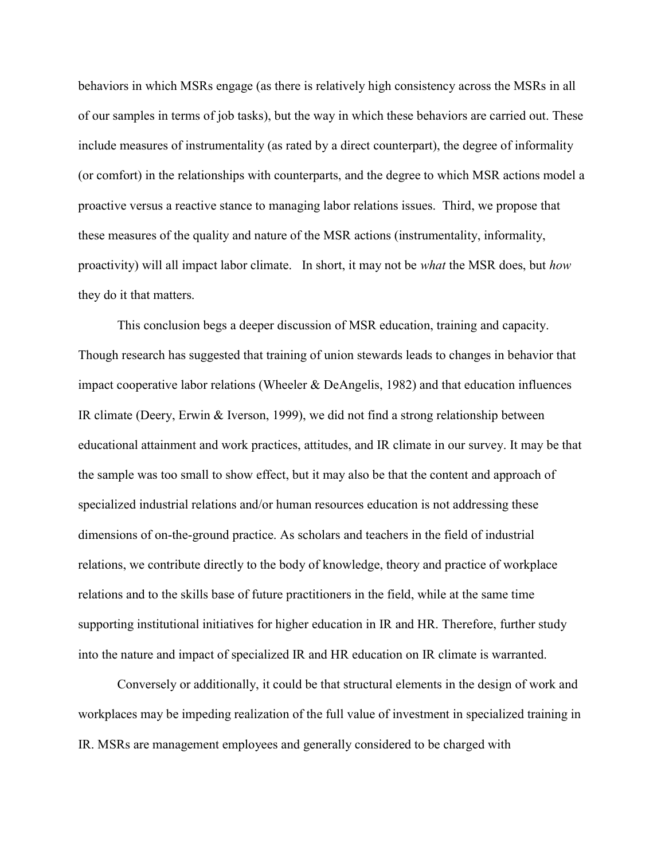behaviors in which MSRs engage (as there is relatively high consistency across the MSRs in all of our samples in terms of job tasks), but the way in which these behaviors are carried out. These include measures of instrumentality (as rated by a direct counterpart), the degree of informality (or comfort) in the relationships with counterparts, and the degree to which MSR actions model a proactive versus a reactive stance to managing labor relations issues. Third, we propose that these measures of the quality and nature of the MSR actions (instrumentality, informality, proactivity) will all impact labor climate. In short, it may not be *what* the MSR does, but *how* they do it that matters.

This conclusion begs a deeper discussion of MSR education, training and capacity. Though research has suggested that training of union stewards leads to changes in behavior that impact cooperative labor relations (Wheeler & DeAngelis, 1982) and that education influences IR climate (Deery, Erwin & Iverson, 1999), we did not find a strong relationship between educational attainment and work practices, attitudes, and IR climate in our survey. It may be that the sample was too small to show effect, but it may also be that the content and approach of specialized industrial relations and/or human resources education is not addressing these dimensions of on-the-ground practice. As scholars and teachers in the field of industrial relations, we contribute directly to the body of knowledge, theory and practice of workplace relations and to the skills base of future practitioners in the field, while at the same time supporting institutional initiatives for higher education in IR and HR. Therefore, further study into the nature and impact of specialized IR and HR education on IR climate is warranted.

Conversely or additionally, it could be that structural elements in the design of work and workplaces may be impeding realization of the full value of investment in specialized training in IR. MSRs are management employees and generally considered to be charged with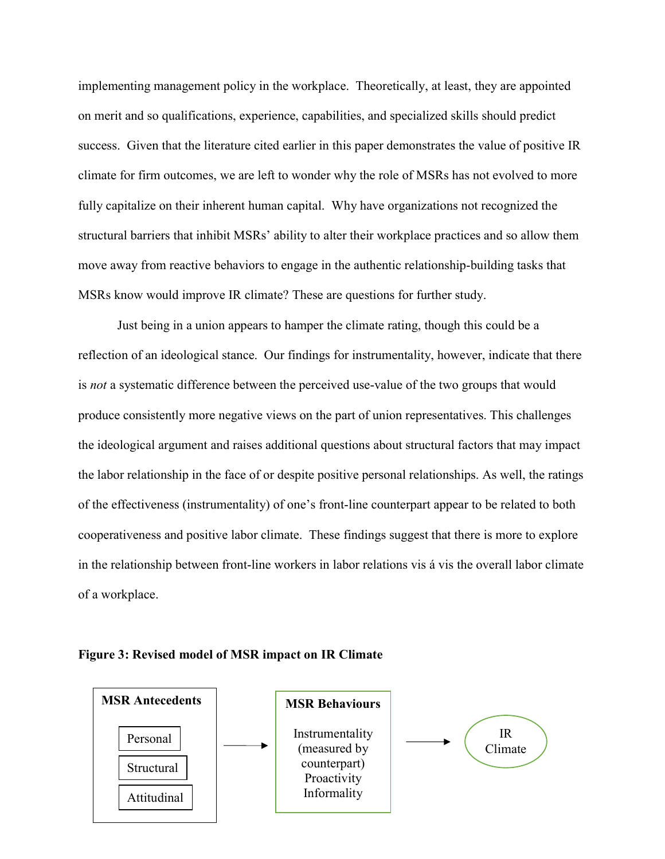implementing management policy in the workplace. Theoretically, at least, they are appointed on merit and so qualifications, experience, capabilities, and specialized skills should predict success. Given that the literature cited earlier in this paper demonstrates the value of positive IR climate for firm outcomes, we are left to wonder why the role of MSRs has not evolved to more fully capitalize on their inherent human capital. Why have organizations not recognized the structural barriers that inhibit MSRs' ability to alter their workplace practices and so allow them move away from reactive behaviors to engage in the authentic relationship-building tasks that MSRs know would improve IR climate? These are questions for further study.

Just being in a union appears to hamper the climate rating, though this could be a reflection of an ideological stance. Our findings for instrumentality, however, indicate that there is not a systematic difference between the perceived use-value of the two groups that would produce consistently more negative views on the part of union representatives. This challenges the ideological argument and raises additional questions about structural factors that may impact the labor relationship in the face of or despite positive personal relationships. As well, the ratings of the effectiveness (instrumentality) of one's front-line counterpart appear to be related to both cooperativeness and positive labor climate. These findings suggest that there is more to explore in the relationship between front-line workers in labor relations vis á vis the overall labor climate of a workplace.



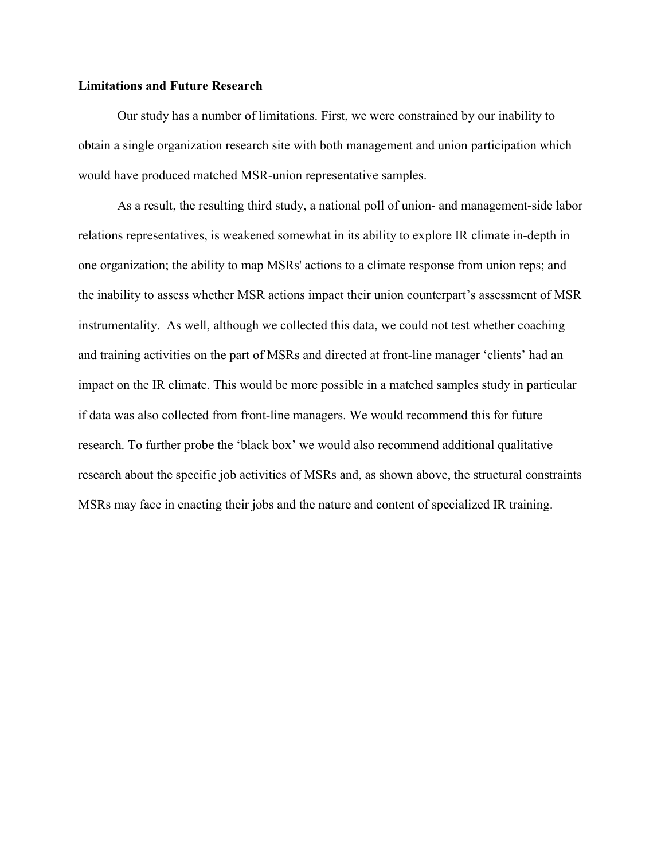#### Limitations and Future Research

Our study has a number of limitations. First, we were constrained by our inability to obtain a single organization research site with both management and union participation which would have produced matched MSR-union representative samples.

As a result, the resulting third study, a national poll of union- and management-side labor relations representatives, is weakened somewhat in its ability to explore IR climate in-depth in one organization; the ability to map MSRs' actions to a climate response from union reps; and the inability to assess whether MSR actions impact their union counterpart's assessment of MSR instrumentality. As well, although we collected this data, we could not test whether coaching and training activities on the part of MSRs and directed at front-line manager 'clients' had an impact on the IR climate. This would be more possible in a matched samples study in particular if data was also collected from front-line managers. We would recommend this for future research. To further probe the 'black box' we would also recommend additional qualitative research about the specific job activities of MSRs and, as shown above, the structural constraints MSRs may face in enacting their jobs and the nature and content of specialized IR training.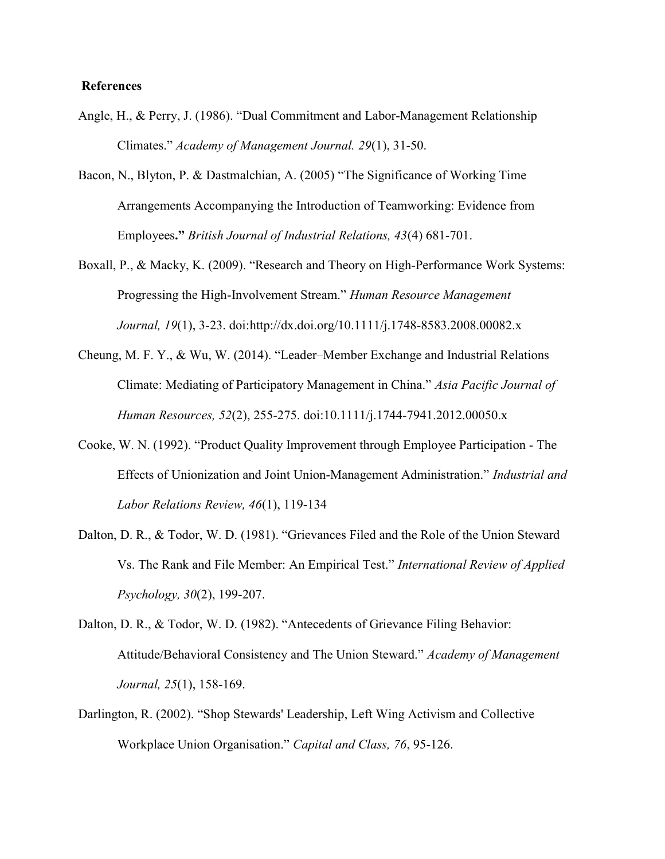#### **References**

- Angle, H., & Perry, J. (1986). "Dual Commitment and Labor-Management Relationship Climates." Academy of Management Journal. 29(1), 31-50.
- Bacon, N., Blyton, P. & Dastmalchian, A. (2005) "The Significance of Working Time Arrangements Accompanying the Introduction of Teamworking: Evidence from Employees." British Journal of Industrial Relations, 43(4) 681-701.
- Boxall, P., & Macky, K. (2009). "Research and Theory on High-Performance Work Systems: Progressing the High-Involvement Stream." Human Resource Management Journal, 19(1), 3-23. doi:http://dx.doi.org/10.1111/j.1748-8583.2008.00082.x
- Cheung, M. F. Y., & Wu, W. (2014). "Leader–Member Exchange and Industrial Relations Climate: Mediating of Participatory Management in China." Asia Pacific Journal of Human Resources, 52(2), 255-275. doi:10.1111/j.1744-7941.2012.00050.x
- Cooke, W. N. (1992). "Product Quality Improvement through Employee Participation The Effects of Unionization and Joint Union-Management Administration." Industrial and Labor Relations Review, 46(1), 119-134
- Dalton, D. R., & Todor, W. D. (1981). "Grievances Filed and the Role of the Union Steward Vs. The Rank and File Member: An Empirical Test." International Review of Applied Psychology, 30(2), 199-207.
- Dalton, D. R., & Todor, W. D. (1982). "Antecedents of Grievance Filing Behavior: Attitude/Behavioral Consistency and The Union Steward." Academy of Management Journal, 25(1), 158-169.
- Darlington, R. (2002). "Shop Stewards' Leadership, Left Wing Activism and Collective Workplace Union Organisation." Capital and Class, 76, 95-126.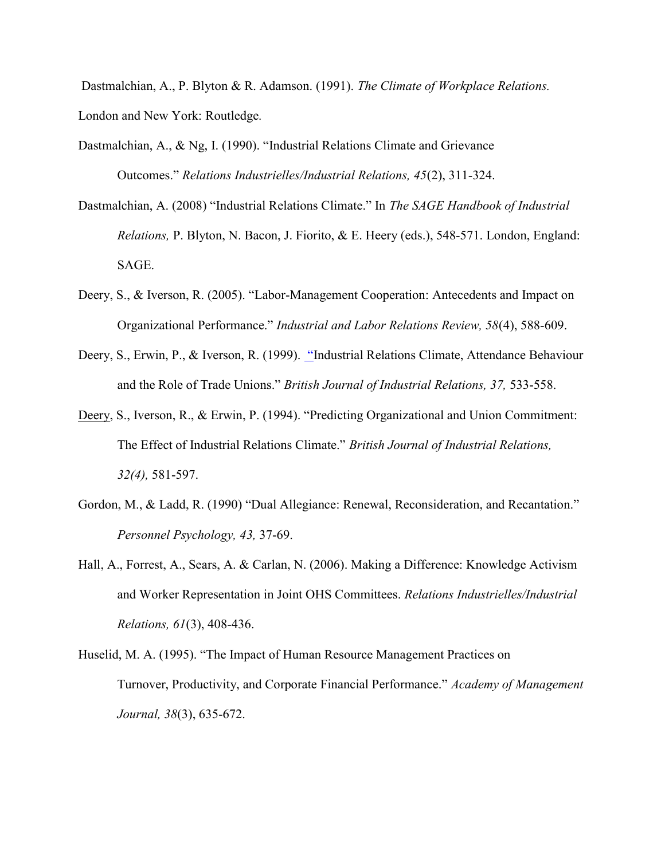Dastmalchian, A., P. Blyton & R. Adamson. (1991). The Climate of Workplace Relations. London and New York: Routledge.

- Dastmalchian, A., & Ng, I. (1990). "Industrial Relations Climate and Grievance Outcomes." Relations Industrielles/Industrial Relations, 45(2), 311-324.
- Dastmalchian, A. (2008) "Industrial Relations Climate." In The SAGE Handbook of Industrial Relations, P. Blyton, N. Bacon, J. Fiorito, & E. Heery (eds.), 548-571. London, England: SAGE.
- Deery, S., & Iverson, R. (2005). "Labor-Management Cooperation: Antecedents and Impact on Organizational Performance." Industrial and Labor Relations Review, 58(4), 588-609.
- Deery, S., Erwin, P., & Iverson, R. (1999). "Industrial Relations Climate, Attendance Behaviour and the Role of Trade Unions." British Journal of Industrial Relations, 37, 533-558.
- Deery, S., Iverson, R., & Erwin, P. (1994). "Predicting Organizational and Union Commitment: The Effect of Industrial Relations Climate." British Journal of Industrial Relations, 32(4), 581-597.
- Gordon, M., & Ladd, R. (1990) "Dual Allegiance: Renewal, Reconsideration, and Recantation." Personnel Psychology, 43, 37-69.
- Hall, A., Forrest, A., Sears, A. & Carlan, N. (2006). Making a Difference: Knowledge Activism and Worker Representation in Joint OHS Committees. Relations Industrielles/Industrial Relations, 61(3), 408-436.
- Huselid, M. A. (1995). "The Impact of Human Resource Management Practices on Turnover, Productivity, and Corporate Financial Performance." Academy of Management Journal, 38(3), 635-672.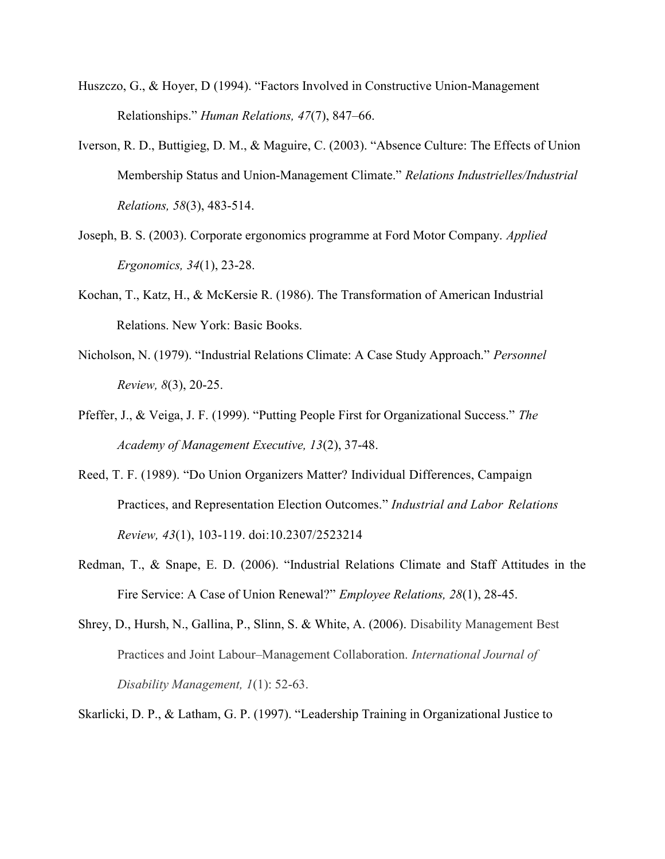- Huszczo, G., & Hoyer, D (1994). "Factors Involved in Constructive Union-Management Relationships." Human Relations, 47(7), 847–66.
- Iverson, R. D., Buttigieg, D. M., & Maguire, C. (2003). "Absence Culture: The Effects of Union Membership Status and Union-Management Climate." Relations Industrielles/Industrial Relations, 58(3), 483-514.
- Joseph, B. S. (2003). Corporate ergonomics programme at Ford Motor Company. Applied Ergonomics, 34(1), 23-28.
- Kochan, T., Katz, H., & McKersie R. (1986). The Transformation of American Industrial Relations. New York: Basic Books.
- Nicholson, N. (1979). "Industrial Relations Climate: A Case Study Approach." Personnel Review, 8(3), 20-25.
- Pfeffer, J., & Veiga, J. F. (1999). "Putting People First for Organizational Success." The Academy of Management Executive, 13(2), 37-48.
- Reed, T. F. (1989). "Do Union Organizers Matter? Individual Differences, Campaign Practices, and Representation Election Outcomes." Industrial and Labor Relations Review, 43(1), 103-119. doi:10.2307/2523214
- Redman, T., & Snape, E. D. (2006). "Industrial Relations Climate and Staff Attitudes in the Fire Service: A Case of Union Renewal?" Employee Relations, 28(1), 28-45.
- Shrey, D., Hursh, N., Gallina, P., Slinn, S. & White, A. (2006). Disability Management Best Practices and Joint Labour–Management Collaboration. International Journal of Disability Management, 1(1): 52-63.
- Skarlicki, D. P., & Latham, G. P. (1997). "Leadership Training in Organizational Justice to